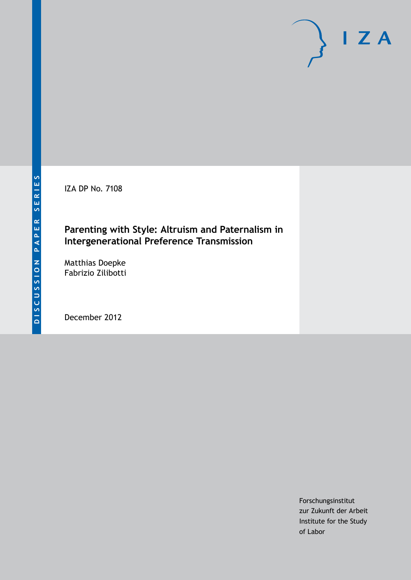IZA DP No. 7108

## **Parenting with Style: Altruism and Paternalism in Intergenerational Preference Transmission**

Matthias Doepke Fabrizio Zilibotti

December 2012

Forschungsinstitut zur Zukunft der Arbeit Institute for the Study of Labor

 $I Z A$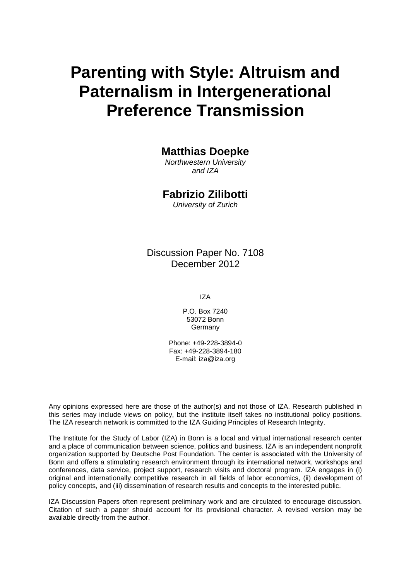# **Parenting with Style: Altruism and Paternalism in Intergenerational Preference Transmission**

## **Matthias Doepke**

*Northwestern University and IZA*

## **Fabrizio Zilibotti**

*University of Zurich*

Discussion Paper No. 7108 December 2012

IZA

P.O. Box 7240 53072 Bonn **Germany** 

Phone: +49-228-3894-0 Fax: +49-228-3894-180 E-mail: [iza@iza.org](mailto:iza@iza.org)

Any opinions expressed here are those of the author(s) and not those of IZA. Research published in this series may include views on policy, but the institute itself takes no institutional policy positions. The IZA research network is committed to the IZA Guiding Principles of Research Integrity.

The Institute for the Study of Labor (IZA) in Bonn is a local and virtual international research center and a place of communication between science, politics and business. IZA is an independent nonprofit organization supported by Deutsche Post Foundation. The center is associated with the University of Bonn and offers a stimulating research environment through its international network, workshops and conferences, data service, project support, research visits and doctoral program. IZA engages in (i) original and internationally competitive research in all fields of labor economics, (ii) development of policy concepts, and (iii) dissemination of research results and concepts to the interested public.

<span id="page-1-0"></span>IZA Discussion Papers often represent preliminary work and are circulated to encourage discussion. Citation of such a paper should account for its provisional character. A revised version may be available directly from the author.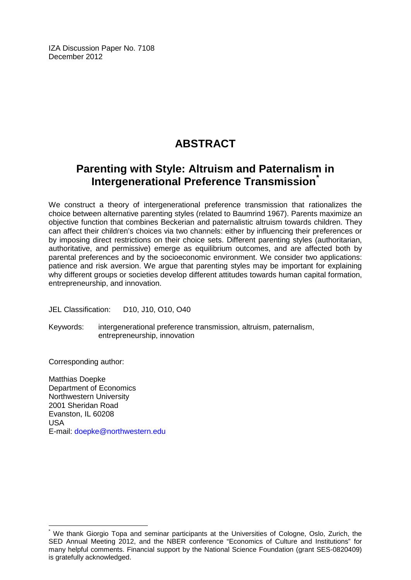IZA Discussion Paper No. 7108 December 2012

## **ABSTRACT**

## **Parenting with Style: Altruism and Paternalism in Intergenerational Preference Transmission[\\*](#page-1-0)**

We construct a theory of intergenerational preference transmission that rationalizes the choice between alternative parenting styles (related to Baumrind 1967). Parents maximize an objective function that combines Beckerian and paternalistic altruism towards children. They can affect their children's choices via two channels: either by influencing their preferences or by imposing direct restrictions on their choice sets. Different parenting styles (authoritarian, authoritative, and permissive) emerge as equilibrium outcomes, and are affected both by parental preferences and by the socioeconomic environment. We consider two applications: patience and risk aversion. We argue that parenting styles may be important for explaining why different groups or societies develop different attitudes towards human capital formation, entrepreneurship, and innovation.

JEL Classification: D10, J10, O10, O40

Keywords: intergenerational preference transmission, altruism, paternalism, entrepreneurship, innovation

Corresponding author:

Matthias Doepke Department of Economics Northwestern University 2001 Sheridan Road Evanston, IL 60208 USA E-mail: [doepke@northwestern.edu](mailto:doepke@northwestern.edu)

We thank Giorgio Topa and seminar participants at the Universities of Cologne, Oslo, Zurich, the SED Annual Meeting 2012, and the NBER conference "Economics of Culture and Institutions" for many helpful comments. Financial support by the National Science Foundation (grant SES-0820409) is gratefully acknowledged.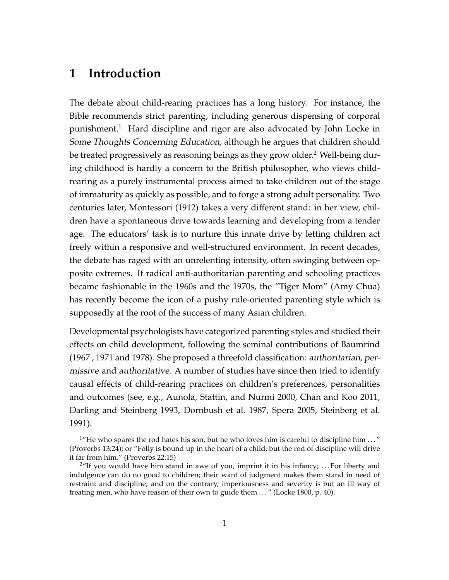## **1 Introduction**

The debate about child-rearing practices has a long history. For instance, the Bible recommends strict parenting, including generous dispensing of corporal punishment.<sup>1</sup> Hard discipline and rigor are also advocated by John Locke in Some Thoughts Concerning Education, although he argues that children should be treated progressively as reasoning beings as they grow older.<sup>2</sup> Well-being during childhood is hardly a concern to the British philosopher, who views childrearing as a purely instrumental process aimed to take children out of the stage of immaturity as quickly as possible, and to forge a strong adult personality. Two centuries later, Montessori (1912) takes a very different stand: in her view, children have a spontaneous drive towards learning and developing from a tender age. The educators' task is to nurture this innate drive by letting children act freely within a responsive and well-structured environment. In recent decades, the debate has raged with an unrelenting intensity, often swinging between opposite extremes. If radical anti-authoritarian parenting and schooling practices became fashionable in the 1960s and the 1970s, the "Tiger Mom" (Amy Chua) has recently become the icon of a pushy rule-oriented parenting style which is supposedly at the root of the success of many Asian children.

Developmental psychologists have categorized parenting styles and studied their effects on child development, following the seminal contributions of Baumrind (1967 , 1971 and 1978). She proposed a threefold classification: authoritarian, permissive and authoritative. A number of studies have since then tried to identify causal effects of child-rearing practices on children's preferences, personalities and outcomes (see, e.g., Aunola, Stattin, and Nurmi 2000, Chan and Koo 2011, Darling and Steinberg 1993, Dornbush et al. 1987, Spera 2005, Steinberg et al. 1991).

<sup>&</sup>lt;sup>1</sup>"He who spares the rod hates his son, but he who loves him is careful to discipline him  $\ldots$ " (Proverbs 13:24); or "Folly is bound up in the heart of a child, but the rod of discipline will drive it far from him." (Proverbs 22:15)

 $2\text{``If you would have him stand in a}$  awe of you, imprint it in his infancy; ... For liberty and indulgence can do no good to children; their want of judgment makes them stand in need of restraint and discipline; and on the contrary, imperiousness and severity is but an ill way of treating men, who have reason of their own to guide them . . . " (Locke 1800, p. 40).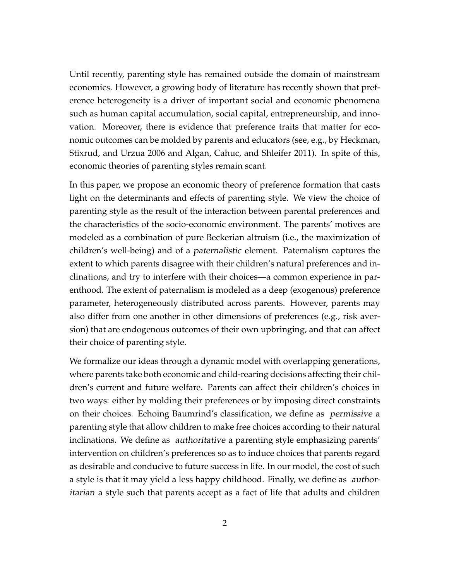Until recently, parenting style has remained outside the domain of mainstream economics. However, a growing body of literature has recently shown that preference heterogeneity is a driver of important social and economic phenomena such as human capital accumulation, social capital, entrepreneurship, and innovation. Moreover, there is evidence that preference traits that matter for economic outcomes can be molded by parents and educators (see, e.g., by Heckman, Stixrud, and Urzua 2006 and Algan, Cahuc, and Shleifer 2011). In spite of this, economic theories of parenting styles remain scant.

In this paper, we propose an economic theory of preference formation that casts light on the determinants and effects of parenting style. We view the choice of parenting style as the result of the interaction between parental preferences and the characteristics of the socio-economic environment. The parents' motives are modeled as a combination of pure Beckerian altruism (i.e., the maximization of children's well-being) and of a paternalistic element. Paternalism captures the extent to which parents disagree with their children's natural preferences and inclinations, and try to interfere with their choices—a common experience in parenthood. The extent of paternalism is modeled as a deep (exogenous) preference parameter, heterogeneously distributed across parents. However, parents may also differ from one another in other dimensions of preferences (e.g., risk aversion) that are endogenous outcomes of their own upbringing, and that can affect their choice of parenting style.

We formalize our ideas through a dynamic model with overlapping generations, where parents take both economic and child-rearing decisions affecting their children's current and future welfare. Parents can affect their children's choices in two ways: either by molding their preferences or by imposing direct constraints on their choices. Echoing Baumrind's classification, we define as permissive a parenting style that allow children to make free choices according to their natural inclinations. We define as authoritative a parenting style emphasizing parents' intervention on children's preferences so as to induce choices that parents regard as desirable and conducive to future success in life. In our model, the cost of such a style is that it may yield a less happy childhood. Finally, we define as authoritarian a style such that parents accept as a fact of life that adults and children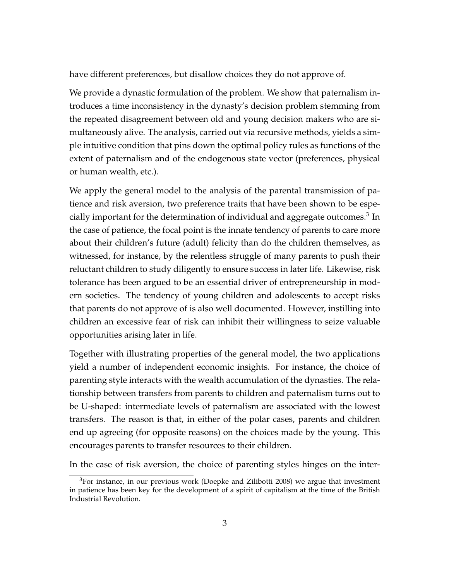have different preferences, but disallow choices they do not approve of.

We provide a dynastic formulation of the problem. We show that paternalism introduces a time inconsistency in the dynasty's decision problem stemming from the repeated disagreement between old and young decision makers who are simultaneously alive. The analysis, carried out via recursive methods, yields a simple intuitive condition that pins down the optimal policy rules as functions of the extent of paternalism and of the endogenous state vector (preferences, physical or human wealth, etc.).

We apply the general model to the analysis of the parental transmission of patience and risk aversion, two preference traits that have been shown to be especially important for the determination of individual and aggregate outcomes. $^3$  In the case of patience, the focal point is the innate tendency of parents to care more about their children's future (adult) felicity than do the children themselves, as witnessed, for instance, by the relentless struggle of many parents to push their reluctant children to study diligently to ensure success in later life. Likewise, risk tolerance has been argued to be an essential driver of entrepreneurship in modern societies. The tendency of young children and adolescents to accept risks that parents do not approve of is also well documented. However, instilling into children an excessive fear of risk can inhibit their willingness to seize valuable opportunities arising later in life.

Together with illustrating properties of the general model, the two applications yield a number of independent economic insights. For instance, the choice of parenting style interacts with the wealth accumulation of the dynasties. The relationship between transfers from parents to children and paternalism turns out to be U-shaped: intermediate levels of paternalism are associated with the lowest transfers. The reason is that, in either of the polar cases, parents and children end up agreeing (for opposite reasons) on the choices made by the young. This encourages parents to transfer resources to their children.

In the case of risk aversion, the choice of parenting styles hinges on the inter-

 $3$ For instance, in our previous work (Doepke and Zilibotti 2008) we argue that investment in patience has been key for the development of a spirit of capitalism at the time of the British Industrial Revolution.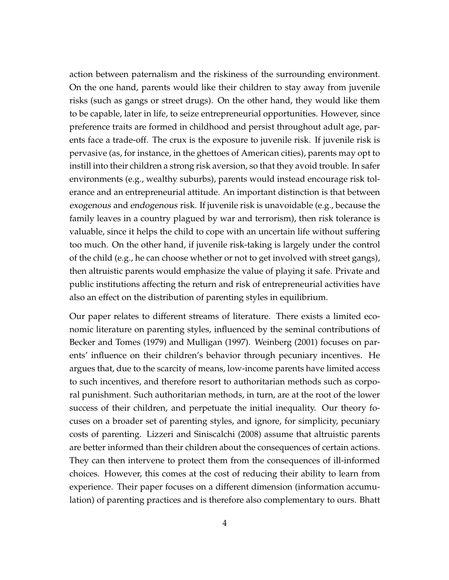action between paternalism and the riskiness of the surrounding environment. On the one hand, parents would like their children to stay away from juvenile risks (such as gangs or street drugs). On the other hand, they would like them to be capable, later in life, to seize entrepreneurial opportunities. However, since preference traits are formed in childhood and persist throughout adult age, parents face a trade-off. The crux is the exposure to juvenile risk. If juvenile risk is pervasive (as, for instance, in the ghettoes of American cities), parents may opt to instill into their children a strong risk aversion, so that they avoid trouble. In safer environments (e.g., wealthy suburbs), parents would instead encourage risk tolerance and an entrepreneurial attitude. An important distinction is that between exogenous and endogenous risk. If juvenile risk is unavoidable (e.g., because the family leaves in a country plagued by war and terrorism), then risk tolerance is valuable, since it helps the child to cope with an uncertain life without suffering too much. On the other hand, if juvenile risk-taking is largely under the control of the child (e.g., he can choose whether or not to get involved with street gangs), then altruistic parents would emphasize the value of playing it safe. Private and public institutions affecting the return and risk of entrepreneurial activities have also an effect on the distribution of parenting styles in equilibrium.

Our paper relates to different streams of literature. There exists a limited economic literature on parenting styles, influenced by the seminal contributions of Becker and Tomes (1979) and Mulligan (1997). Weinberg (2001) focuses on parents' influence on their children's behavior through pecuniary incentives. He argues that, due to the scarcity of means, low-income parents have limited access to such incentives, and therefore resort to authoritarian methods such as corporal punishment. Such authoritarian methods, in turn, are at the root of the lower success of their children, and perpetuate the initial inequality. Our theory focuses on a broader set of parenting styles, and ignore, for simplicity, pecuniary costs of parenting. Lizzeri and Siniscalchi (2008) assume that altruistic parents are better informed than their children about the consequences of certain actions. They can then intervene to protect them from the consequences of ill-informed choices. However, this comes at the cost of reducing their ability to learn from experience. Their paper focuses on a different dimension (information accumulation) of parenting practices and is therefore also complementary to ours. Bhatt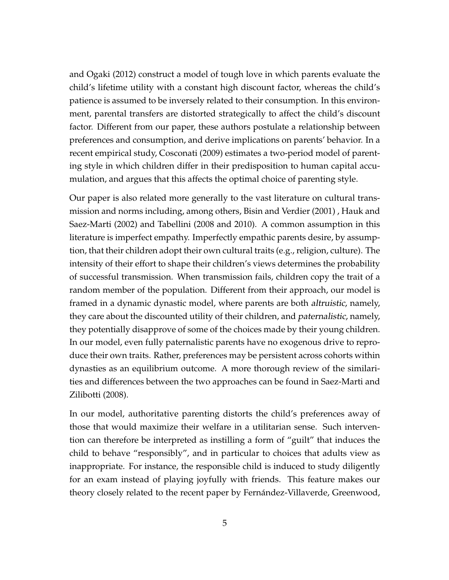and Ogaki (2012) construct a model of tough love in which parents evaluate the child's lifetime utility with a constant high discount factor, whereas the child's patience is assumed to be inversely related to their consumption. In this environment, parental transfers are distorted strategically to affect the child's discount factor. Different from our paper, these authors postulate a relationship between preferences and consumption, and derive implications on parents' behavior. In a recent empirical study, Cosconati (2009) estimates a two-period model of parenting style in which children differ in their predisposition to human capital accumulation, and argues that this affects the optimal choice of parenting style.

Our paper is also related more generally to the vast literature on cultural transmission and norms including, among others, Bisin and Verdier (2001) , Hauk and Saez-Marti (2002) and Tabellini (2008 and 2010). A common assumption in this literature is imperfect empathy. Imperfectly empathic parents desire, by assumption, that their children adopt their own cultural traits (e.g., religion, culture). The intensity of their effort to shape their children's views determines the probability of successful transmission. When transmission fails, children copy the trait of a random member of the population. Different from their approach, our model is framed in a dynamic dynastic model, where parents are both altruistic, namely, they care about the discounted utility of their children, and paternalistic, namely, they potentially disapprove of some of the choices made by their young children. In our model, even fully paternalistic parents have no exogenous drive to reproduce their own traits. Rather, preferences may be persistent across cohorts within dynasties as an equilibrium outcome. A more thorough review of the similarities and differences between the two approaches can be found in Saez-Marti and Zilibotti (2008).

In our model, authoritative parenting distorts the child's preferences away of those that would maximize their welfare in a utilitarian sense. Such intervention can therefore be interpreted as instilling a form of "guilt" that induces the child to behave "responsibly", and in particular to choices that adults view as inappropriate. For instance, the responsible child is induced to study diligently for an exam instead of playing joyfully with friends. This feature makes our theory closely related to the recent paper by Fernández-Villaverde, Greenwood,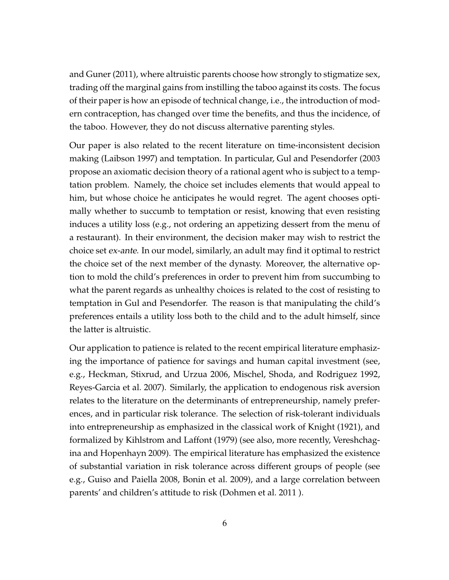and Guner (2011), where altruistic parents choose how strongly to stigmatize sex, trading off the marginal gains from instilling the taboo against its costs. The focus of their paper is how an episode of technical change, i.e., the introduction of modern contraception, has changed over time the benefits, and thus the incidence, of the taboo. However, they do not discuss alternative parenting styles.

Our paper is also related to the recent literature on time-inconsistent decision making (Laibson 1997) and temptation. In particular, Gul and Pesendorfer (2003 propose an axiomatic decision theory of a rational agent who is subject to a temptation problem. Namely, the choice set includes elements that would appeal to him, but whose choice he anticipates he would regret. The agent chooses optimally whether to succumb to temptation or resist, knowing that even resisting induces a utility loss (e.g., not ordering an appetizing dessert from the menu of a restaurant). In their environment, the decision maker may wish to restrict the choice set ex-ante. In our model, similarly, an adult may find it optimal to restrict the choice set of the next member of the dynasty. Moreover, the alternative option to mold the child's preferences in order to prevent him from succumbing to what the parent regards as unhealthy choices is related to the cost of resisting to temptation in Gul and Pesendorfer. The reason is that manipulating the child's preferences entails a utility loss both to the child and to the adult himself, since the latter is altruistic.

Our application to patience is related to the recent empirical literature emphasizing the importance of patience for savings and human capital investment (see, e.g., Heckman, Stixrud, and Urzua 2006, Mischel, Shoda, and Rodriguez 1992, Reyes-Garcia et al. 2007). Similarly, the application to endogenous risk aversion relates to the literature on the determinants of entrepreneurship, namely preferences, and in particular risk tolerance. The selection of risk-tolerant individuals into entrepreneurship as emphasized in the classical work of Knight (1921), and formalized by Kihlstrom and Laffont (1979) (see also, more recently, Vereshchagina and Hopenhayn 2009). The empirical literature has emphasized the existence of substantial variation in risk tolerance across different groups of people (see e.g., Guiso and Paiella 2008, Bonin et al. 2009), and a large correlation between parents' and children's attitude to risk (Dohmen et al. 2011 ).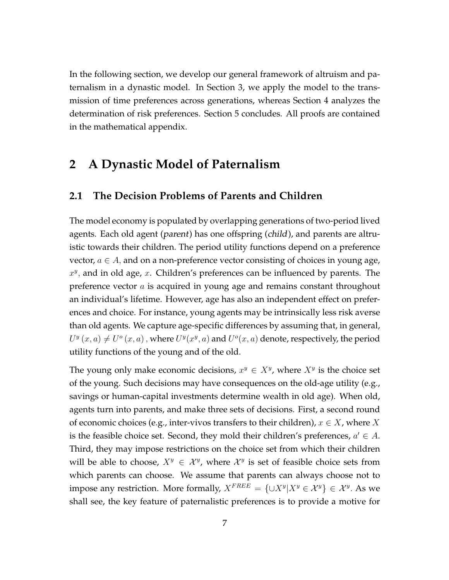In the following section, we develop our general framework of altruism and paternalism in a dynastic model. In Section 3, we apply the model to the transmission of time preferences across generations, whereas Section 4 analyzes the determination of risk preferences. Section 5 concludes. All proofs are contained in the mathematical appendix.

## **2 A Dynastic Model of Paternalism**

#### **2.1 The Decision Problems of Parents and Children**

The model economy is populated by overlapping generations of two-period lived agents. Each old agent (parent) has one offspring (child), and parents are altruistic towards their children. The period utility functions depend on a preference vector,  $a \in A$ , and on a non-preference vector consisting of choices in young age, *x y ,* and in old age, *x*. Children's preferences can be influenced by parents. The preference vector *a* is acquired in young age and remains constant throughout an individual's lifetime. However, age has also an independent effect on preferences and choice. For instance, young agents may be intrinsically less risk averse than old agents. We capture age-specific differences by assuming that, in general,  $U^y(x, a) \neq U^o(x, a)$ , where  $U^y(x^y, a)$  and  $U^o(x, a)$  denote, respectively, the period utility functions of the young and of the old.

The young only make economic decisions,  $x^y \in X^y$ , where  $X^y$  is the choice set of the young. Such decisions may have consequences on the old-age utility (e.g., savings or human-capital investments determine wealth in old age). When old, agents turn into parents, and make three sets of decisions. First, a second round of economic choices (e.g., inter-vivos transfers to their children), *x ∈ X*, where *X* is the feasible choice set. Second, they mold their children's preferences, *a ′ ∈ A*. Third, they may impose restrictions on the choice set from which their children will be able to choose,  $X^y \in \mathcal{X}^y$ , where  $\mathcal{X}^y$  is set of feasible choice sets from which parents can choose. We assume that parents can always choose not to impose any restriction. More formally,  $X^{FREE} = {\{\cup X^y | X^y \in X^y\}} \in \mathcal{X}^y$ . As we shall see, the key feature of paternalistic preferences is to provide a motive for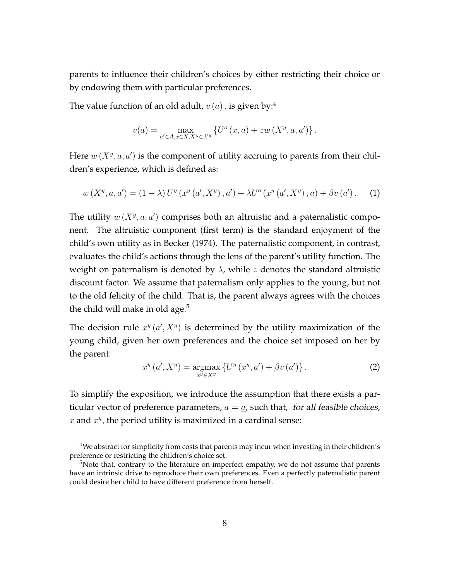parents to influence their children's choices by either restricting their choice or by endowing them with particular preferences.

The value function of an old adult,  $v(a)$ , is given by:<sup>4</sup>

$$
v(a) = \max_{a' \in A, x \in X, X^y \in \mathcal{X}^y} \left\{ U^o(x, a) + zw(X^y, a, a') \right\}.
$$

Here  $w(X^y, a, a')$  is the component of utility accruing to parents from their children's experience, which is defined as:

$$
w(X^{y}, a, a') = (1 - \lambda) U^{y}(x^{y}(a', X^{y}), a') + \lambda U^{o}(x^{y}(a', X^{y}), a) + \beta v(a').
$$
 (1)

The utility  $w(X^y, a, a')$  comprises both an altruistic and a paternalistic component. The altruistic component (first term) is the standard enjoyment of the child's own utility as in Becker (1974). The paternalistic component, in contrast, evaluates the child's actions through the lens of the parent's utility function. The weight on paternalism is denoted by *λ*, while *z* denotes the standard altruistic discount factor. We assume that paternalism only applies to the young, but not to the old felicity of the child. That is, the parent always agrees with the choices the child will make in old age. $5$ 

The decision rule  $x^y$   $(a', X^y)$  is determined by the utility maximization of the young child, given her own preferences and the choice set imposed on her by the parent:

$$
x^{y}\left(a', X^{y}\right) = \underset{x^{y} \in X^{y}}{\operatorname{argmax}} \left\{ U^{y}\left(x^{y}, a'\right) + \beta v\left(a'\right) \right\}.
$$
 (2)

To simplify the exposition, we introduce the assumption that there exists a particular vector of preference parameters,  $a = a$ , such that, for all feasible choices,  $x$  and  $x^y$ , the period utility is maximized in a cardinal sense:

<sup>&</sup>lt;sup>4</sup>We abstract for simplicity from costs that parents may incur when investing in their children's preference or restricting the children's choice set.

 $5$ Note that, contrary to the literature on imperfect empathy, we do not assume that parents have an intrinsic drive to reproduce their own preferences. Even a perfectly paternalistic parent could desire her child to have different preference from herself.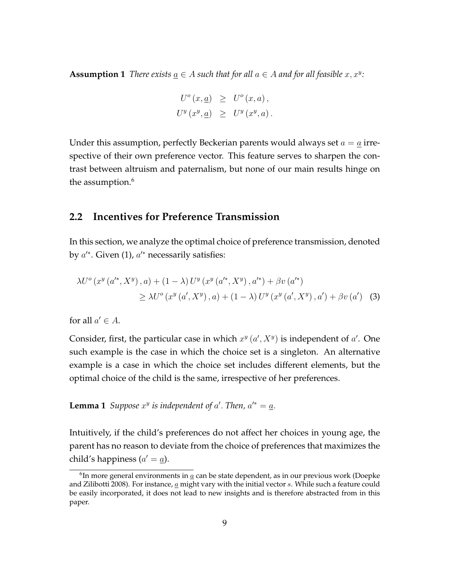**Assumption 1** *There exists*  $\underline{a} \in A$  *such that for all*  $a \in A$  *and for all feasible*  $x, x^y$ *:* 

$$
U^{o}(x, \underline{a}) \geq U^{o}(x, a),
$$
  

$$
U^{y}(x^{y}, \underline{a}) \geq U^{y}(x^{y}, a).
$$

Under this assumption, perfectly Beckerian parents would always set  $a = a$  irrespective of their own preference vector. This feature serves to sharpen the contrast between altruism and paternalism, but none of our main results hinge on the assumption.<sup>6</sup>

### **2.2 Incentives for Preference Transmission**

In this section, we analyze the optimal choice of preference transmission, denoted by *a ′∗*. Given (1), *a ′∗* necessarily satisfies:

$$
\lambda U^o(x^y(a'^*, X^y), a) + (1 - \lambda) U^y(x^y(a'^*, X^y), a'^*) + \beta v(a'^*)
$$
  
\n
$$
\geq \lambda U^o(x^y(a', X^y), a) + (1 - \lambda) U^y(x^y(a', X^y), a') + \beta v(a')
$$
 (3)

for all  $a' \in A$ .

Consider, first, the particular case in which  $x^y$   $(a', X^y)$  is independent of  $a'$ . One such example is the case in which the choice set is a singleton. An alternative example is a case in which the choice set includes different elements, but the optimal choice of the child is the same, irrespective of her preferences.

**Lemma 1** *Suppose*  $x^y$  *is independent of*  $a'$ *. Then,*  $a'^* = a$ *.* 

Intuitively, if the child's preferences do not affect her choices in young age, the parent has no reason to deviate from the choice of preferences that maximizes the child's happiness (*a ′* = *a*).

 $^6$ In more general environments in  $\underline{a}$  can be state dependent, as in our previous work (Doepke and Zilibotti 2008). For instance, *a* might vary with the initial vector *s*. While such a feature could be easily incorporated, it does not lead to new insights and is therefore abstracted from in this paper.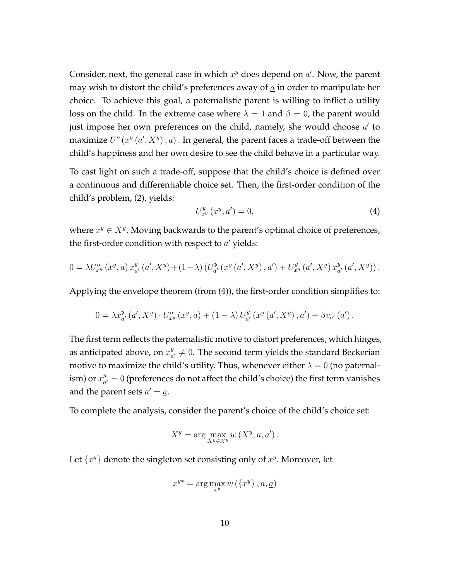Consider, next, the general case in which *x <sup>y</sup>* does depend on *a ′* . Now, the parent may wish to distort the child's preferences away of *a* in order to manipulate her choice. To achieve this goal, a paternalistic parent is willing to inflict a utility loss on the child. In the extreme case where  $\lambda = 1$  and  $\beta = 0$ , the parent would just impose her own preferences on the child, namely, she would choose *a ′* to maximize  $U^o(x^y(a', X^y), a)$  . In general, the parent faces a trade-off between the child's happiness and her own desire to see the child behave in a particular way.

To cast light on such a trade-off, suppose that the child's choice is defined over a continuous and differentiable choice set. Then, the first-order condition of the child's problem, (2), yields:

$$
U_{x^y}^y(x^y, a') = 0,\t\t(4)
$$

where *x <sup>y</sup> ∈ X<sup>y</sup> .* Moving backwards to the parent's optimal choice of preferences, the first-order condition with respect to *a ′* yields:

$$
0 = \lambda U_{x^y}^o(x^y, a) x_{a'}^y(a', X^y) + (1 - \lambda) \left( U_{a'}^y(x^y(a', X^y), a') + U_{x^y}^y(a', X^y) x_{a'}^y(a', X^y) \right),
$$

Applying the envelope theorem (from (4)), the first-order condition simplifies to:

$$
0 = \lambda x_{a'}^y(a', X^y) \cdot U_{x^y}^o(x^y, a) + (1 - \lambda) U_{a'}^y(x^y(a', X^y), a') + \beta v_{a'}(a') .
$$

The first term reflects the paternalistic motive to distort preferences, which hinges, as anticipated above, on  $x^y_a$  $\mathbf{a}^y_{a'}\neq 0.$  The second term yields the standard Beckerian motive to maximize the child's utility. Thus, whenever either  $\lambda = 0$  (no paternalism) or  $x_a^y$  $\alpha_{a'}^y=0$  (preferences do not affect the child's choice) the first term vanishes and the parent sets  $a' = \underline{a}$ .

To complete the analysis, consider the parent's choice of the child's choice set:

$$
X^y = \arg\max_{X^y \in \mathcal{X}^y} w(X^y, a, a').
$$

Let  $\{x^y\}$  denote the singleton set consisting only of  $x^y$ . Moreover, let

$$
x^{y*} = \arg\max_{x^y} w\left(\{x^y\}, a, \underline{a}\right)
$$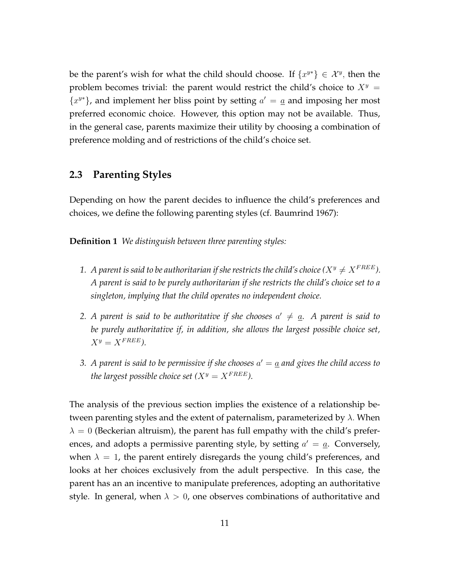be the parent's wish for what the child should choose. If  $\{x^{y*}\}\in \mathcal{X}^y$ , then the problem becomes trivial: the parent would restrict the child's choice to  $X<sup>y</sup>$  =  ${x^y}$ , and implement her bliss point by setting  $a' = a$  and imposing her most preferred economic choice. However, this option may not be available. Thus, in the general case, parents maximize their utility by choosing a combination of preference molding and of restrictions of the child's choice set.

## **2.3 Parenting Styles**

Depending on how the parent decides to influence the child's preferences and choices, we define the following parenting styles (cf. Baumrind 1967):

**Definition 1** *We distinguish between three parenting styles:*

- *1. A parent is said to be authoritarian if she restricts the child's choice* ( $X^y \neq X^{FREE}$ ). *A parent is said to be purely authoritarian if she restricts the child's choice set to a singleton, implying that the child operates no independent choice.*
- 2. A parent is said to be authoritative if she chooses  $a' \neq \underline{a}$ . A parent is said to *be purely authoritative if, in addition, she allows the largest possible choice set,*  $X^y = X^{FREE}$ *)*.
- *3. A parent is said to be permissive if she chooses*  $a' = a$  *and gives the child access to the largest possible choice set*  $(X^y = X^{FREE})$ *.*

The analysis of the previous section implies the existence of a relationship between parenting styles and the extent of paternalism, parameterized by *λ.* When  $\lambda = 0$  (Beckerian altruism), the parent has full empathy with the child's preferences, and adopts a permissive parenting style, by setting *a ′* = *a*. Conversely, when  $\lambda = 1$ , the parent entirely disregards the young child's preferences, and looks at her choices exclusively from the adult perspective. In this case, the parent has an an incentive to manipulate preferences, adopting an authoritative style. In general, when  $\lambda > 0$ , one observes combinations of authoritative and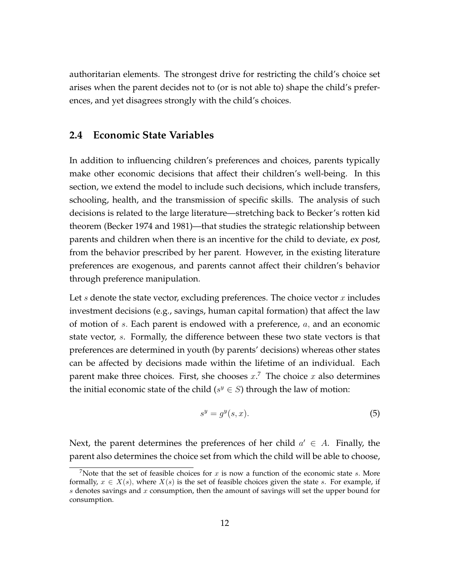authoritarian elements. The strongest drive for restricting the child's choice set arises when the parent decides not to (or is not able to) shape the child's preferences, and yet disagrees strongly with the child's choices.

### **2.4 Economic State Variables**

In addition to influencing children's preferences and choices, parents typically make other economic decisions that affect their children's well-being. In this section, we extend the model to include such decisions, which include transfers, schooling, health, and the transmission of specific skills. The analysis of such decisions is related to the large literature—stretching back to Becker's rotten kid theorem (Becker 1974 and 1981)—that studies the strategic relationship between parents and children when there is an incentive for the child to deviate, ex post, from the behavior prescribed by her parent. However, in the existing literature preferences are exogenous, and parents cannot affect their children's behavior through preference manipulation.

Let *s* denote the state vector, excluding preferences. The choice vector *x* includes investment decisions (e.g., savings, human capital formation) that affect the law of motion of *s.* Each parent is endowed with a preference, *a,* and an economic state vector, *s*. Formally, the difference between these two state vectors is that preferences are determined in youth (by parents' decisions) whereas other states can be affected by decisions made within the lifetime of an individual. Each parent make three choices. First, she chooses *x*. <sup>7</sup> The choice *x* also determines the initial economic state of the child ( $s^y \in S$ ) through the law of motion:

$$
s^y = g^y(s, x). \tag{5}
$$

Next, the parent determines the preferences of her child *a ′ ∈ A*. Finally, the parent also determines the choice set from which the child will be able to choose,

<sup>&</sup>lt;sup>7</sup>Note that the set of feasible choices for  $x$  is now a function of the economic state  $s$ . More formally,  $x \in X(s)$ , where  $X(s)$  is the set of feasible choices given the state *s*. For example, if *s* denotes savings and *x* consumption, then the amount of savings will set the upper bound for consumption.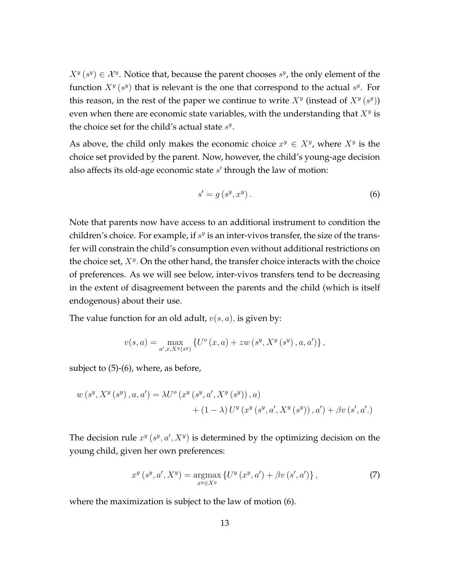$X^y$  ( $s^y$ )  $\in \mathcal{X}^y$ . Notice that, because the parent chooses  $s^y$ , the only element of the function  $X^y$  ( $s^y$ ) that is relevant is the one that correspond to the actual  $s^y$ . For this reason, in the rest of the paper we continue to write  $X^y$  (instead of  $X^y$  ( $s^y$ )) even when there are economic state variables, with the understanding that *X<sup>y</sup>* is the choice set for the child's actual state *s y* .

As above, the child only makes the economic choice  $x^y \in X^y$ , where  $X^y$  is the choice set provided by the parent. Now, however, the child's young-age decision also affects its old-age economic state *s ′* through the law of motion:

$$
s' = g\left(s^y, x^y\right). \tag{6}
$$

Note that parents now have access to an additional instrument to condition the children's choice. For example, if  $s<sup>y</sup>$  is an inter-vivos transfer, the size of the transfer will constrain the child's consumption even without additional restrictions on the choice set, *X<sup>y</sup> .* On the other hand, the transfer choice interacts with the choice of preferences. As we will see below, inter-vivos transfers tend to be decreasing in the extent of disagreement between the parents and the child (which is itself endogenous) about their use.

The value function for an old adult, *v*(*s, a*)*,* is given by:

$$
v(s,a) = \max_{a',x,X^y(s^y)} \left\{ U^o(x,a) + zw\left(s^y, X^y\left(s^y\right), a, a'\right) \right\},\,
$$

subject to  $(5)-(6)$ , where, as before,

$$
w(s^{y}, X^{y}(s^{y}), a, a') = \lambda U^{o}(x^{y}(s^{y}, a', X^{y}(s^{y})), a)
$$
  
+  $(1 - \lambda) U^{y}(x^{y}(s^{y}, a', X^{y}(s^{y})), a') + \beta v(s', a').$ 

The decision rule  $x^y$  ( $s^y$ ,  $a'$ ,  $X^y$ ) is determined by the optimizing decision on the young child, given her own preferences:

$$
x^{y}(s^{y}, a', X^{y}) = \underset{x^{y} \in X^{y}}{\operatorname{argmax}} \left\{ U^{y}(x^{y}, a') + \beta v(s', a') \right\},
$$
 (7)

where the maximization is subject to the law of motion (6).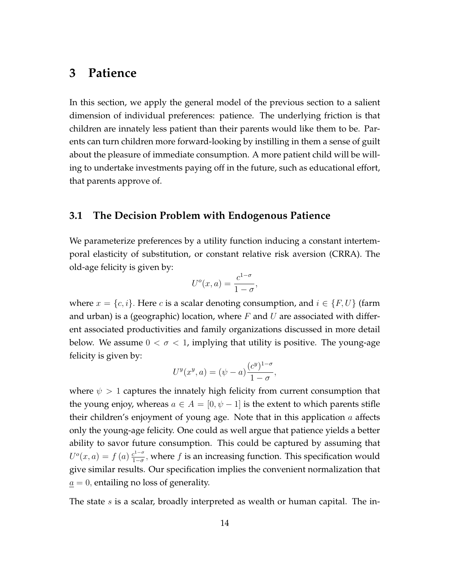## **3 Patience**

In this section, we apply the general model of the previous section to a salient dimension of individual preferences: patience. The underlying friction is that children are innately less patient than their parents would like them to be. Parents can turn children more forward-looking by instilling in them a sense of guilt about the pleasure of immediate consumption. A more patient child will be willing to undertake investments paying off in the future, such as educational effort, that parents approve of.

### **3.1 The Decision Problem with Endogenous Patience**

We parameterize preferences by a utility function inducing a constant intertemporal elasticity of substitution, or constant relative risk aversion (CRRA). The old-age felicity is given by:

$$
U^{o}(x, a) = \frac{c^{1-\sigma}}{1-\sigma},
$$

where  $x = \{c, i\}$ . Here *c* is a scalar denoting consumption, and  $i \in \{F, U\}$  (farm and urban) is a (geographic) location, where *F* and *U* are associated with different associated productivities and family organizations discussed in more detail below. We assume  $0 < \sigma < 1$ , implying that utility is positive. The young-age felicity is given by:

$$
U^{y}(x^{y}, a) = (\psi - a) \frac{(c^{y})^{1-\sigma}}{1-\sigma},
$$

where  $\psi > 1$  captures the innately high felicity from current consumption that the young enjoy, whereas  $a \in A = [0, \psi - 1]$  is the extent to which parents stifle their children's enjoyment of young age. Note that in this application *a* affects only the young-age felicity. One could as well argue that patience yields a better ability to savor future consumption. This could be captured by assuming that  $U^o(x, a) = f(a) \frac{c^{1-\sigma}}{1-\sigma}$ 1*−σ ,* where *f* is an increasing function. This specification would give similar results. Our specification implies the convenient normalization that  $a = 0$ , entailing no loss of generality.

The state *s* is a scalar, broadly interpreted as wealth or human capital. The in-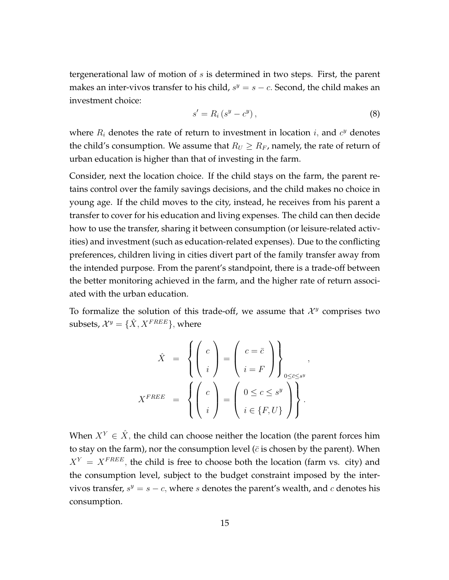tergenerational law of motion of *s* is determined in two steps. First, the parent makes an inter-vivos transfer to his child,  $s^y = s - c$ . Second, the child makes an investment choice:

$$
s' = R_i \left( s^y - c^y \right), \tag{8}
$$

where  $R_i$  denotes the rate of return to investment in location  $i$ , and  $c^y$  denotes the child's consumption. We assume that  $R_U \geq R_F$ , namely, the rate of return of urban education is higher than that of investing in the farm.

Consider, next the location choice. If the child stays on the farm, the parent retains control over the family savings decisions, and the child makes no choice in young age. If the child moves to the city, instead, he receives from his parent a transfer to cover for his education and living expenses. The child can then decide how to use the transfer, sharing it between consumption (or leisure-related activities) and investment (such as education-related expenses). Due to the conflicting preferences, children living in cities divert part of the family transfer away from the intended purpose. From the parent's standpoint, there is a trade-off between the better monitoring achieved in the farm, and the higher rate of return associated with the urban education.

To formalize the solution of this trade-off, we assume that  $\mathcal{X}^y$  comprises two  $subsets, \mathcal{X}^{y} = \{\hat{X}, X^{FREE}\},$  where

$$
\hat{X} = \left\{ \begin{pmatrix} c \\ i \end{pmatrix} = \begin{pmatrix} c = \overline{c} \\ i = F \end{pmatrix} \right\}_{0 \le \overline{c} \le s^y},
$$
\n
$$
X^{FREE} = \left\{ \begin{pmatrix} c \\ i \end{pmatrix} = \begin{pmatrix} 0 \le c \le s^y \\ i \in \{F, U\} \end{pmatrix} \right\}.
$$

When  $X^Y \in \hat{X}$ , the child can choose neither the location (the parent forces him to stay on the farm), nor the consumption level  $(\bar{c}$  is chosen by the parent). When  $X^Y = X^{FREE}$ , the child is free to choose both the location (farm vs. city) and the consumption level, subject to the budget constraint imposed by the intervivos transfer,  $s^y = s - c$ , where *s* denotes the parent's wealth, and *c* denotes his consumption.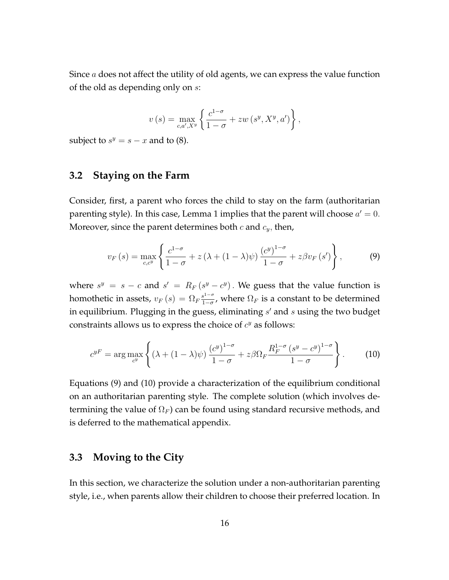Since *a* does not affect the utility of old agents, we can express the value function of the old as depending only on *s*:

$$
v(s) = \max_{c,a',X^y} \left\{ \frac{c^{1-\sigma}}{1-\sigma} + zw(s^y, X^y, a') \right\},\,
$$

subject to  $s^y = s - x$  and to (8).

## **3.2 Staying on the Farm**

Consider, first, a parent who forces the child to stay on the farm (authoritarian parenting style). In this case, Lemma 1 implies that the parent will choose  $a'=0$ . Moreover, since the parent determines both *c* and *cy,* then,

$$
v_F(s) = \max_{c,c^y} \left\{ \frac{c^{1-\sigma}}{1-\sigma} + z\left(\lambda + (1-\lambda)\psi\right) \frac{(c^y)^{1-\sigma}}{1-\sigma} + z\beta v_F\left(s'\right) \right\},\tag{9}
$$

where  $s^y = s - c$  and  $s' = R_F(s^y - c^y)$ . We guess that the value function is homothetic in assets,  $v_F(s) = \Omega_F \frac{s^{1-\sigma}}{1-\sigma}$  $\frac{1}{1-\sigma}$ , where  $\Omega_F$  is a constant to be determined in equilibrium. Plugging in the guess, eliminating *s ′* and *s* using the two budget constraints allows us to express the choice of  $c<sup>y</sup>$  as follows:

$$
c^{yF} = \arg\max_{c^y} \left\{ (\lambda + (1 - \lambda)\psi) \frac{(c^y)^{1-\sigma}}{1-\sigma} + z\beta \Omega_F \frac{R_F^{1-\sigma} (s^y - c^y)^{1-\sigma}}{1-\sigma} \right\}.
$$
 (10)

Equations (9) and (10) provide a characterization of the equilibrium conditional on an authoritarian parenting style. The complete solution (which involves determining the value of  $\Omega_F$ ) can be found using standard recursive methods, and is deferred to the mathematical appendix.

## **3.3 Moving to the City**

In this section, we characterize the solution under a non-authoritarian parenting style, i.e., when parents allow their children to choose their preferred location. In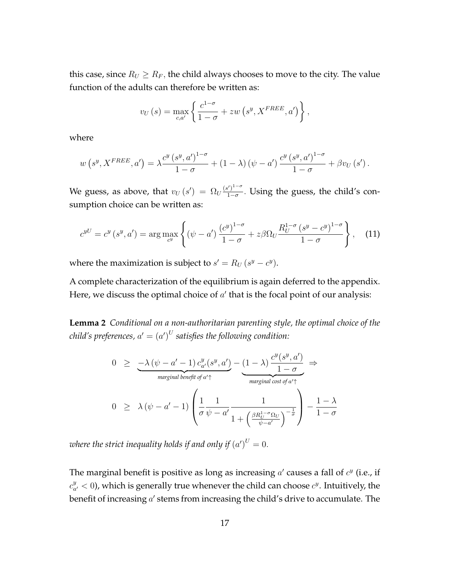this case, since  $R_U \geq R_F$ , the child always chooses to move to the city. The value function of the adults can therefore be written as:

$$
v_U(s) = \max_{c,a'} \left\{ \frac{c^{1-\sigma}}{1-\sigma} + zw\left(s^y, X^{FREE}, a'\right) \right\},\,
$$

where

$$
w(s^{y}, X^{FREE}, a') = \lambda \frac{c^{y}(s^{y}, a')^{1-\sigma}}{1-\sigma} + (1-\lambda)(\psi - a') \frac{c^{y}(s^{y}, a')^{1-\sigma}}{1-\sigma} + \beta v_{U}(s') .
$$

We guess, as above, that  $v_U(s') = \Omega_U \frac{(s')^{1-\sigma}}{1-\sigma}$ 1*−σ .* Using the guess, the child's consumption choice can be written as:

$$
c^{yU} = c^y \left(s^y, a'\right) = \arg \max_{c^y} \left\{ \left(\psi - a'\right) \frac{\left(c^y\right)^{1-\sigma}}{1-\sigma} + z\beta \Omega_U \frac{R_U^{1-\sigma} \left(s^y - c^y\right)^{1-\sigma}}{1-\sigma} \right\},\tag{11}
$$

where the maximization is subject to  $s' = R_U (s^y - c^y)$ .

A complete characterization of the equilibrium is again deferred to the appendix. Here, we discuss the optimal choice of *a ′* that is the focal point of our analysis:

**Lemma 2** *Conditional on a non-authoritarian parenting style, the optimal choice of the child's preferences,*  $a' = \left( a' \right)^U$  *satisfies the following condition:* 

$$
0 \geq \frac{-\lambda (\psi - a' - 1) c_{a'}^y(s^y, a') - (1 - \lambda) \frac{c^y(s^y, a')}{1 - \sigma}}{\text{maxginal benefit of } a' \uparrow}
$$
  

$$
0 \geq \lambda (\psi - a' - 1) \left( \frac{1}{\sigma} \frac{1}{\psi - a'} \frac{1}{1 + \left( \frac{\beta R_U^{1 - \sigma} \Omega_U}{\psi - a'} \right)^{-\frac{1}{\sigma}}} \right) - \frac{1 - \lambda}{1 - \sigma}
$$

where the strict inequality holds if and only if  $\left( a^{\prime}\right) ^{U}=0.$ 

The marginal benefit is positive as long as increasing *a'* causes a fall of  $c^y$  (i.e., if  $c_a^y$  $a'_{a'} < 0$ ), which is generally true whenever the child can choose  $c^y$ . Intuitively, the benefit of increasing  $a'$  stems from increasing the child's drive to accumulate. The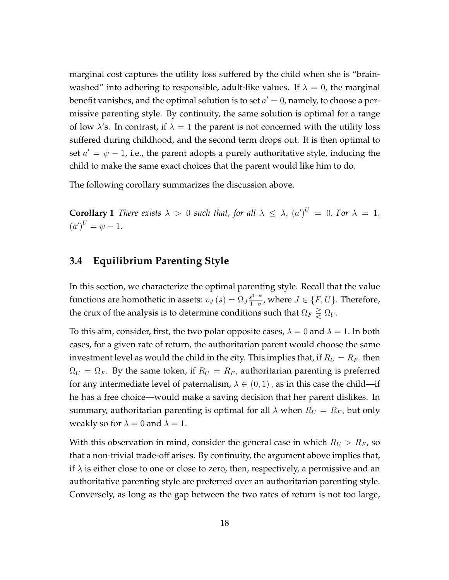marginal cost captures the utility loss suffered by the child when she is "brainwashed" into adhering to responsible, adult-like values. If  $\lambda = 0$ , the marginal benefit vanishes*,* and the optimal solution is to set  $a'=0$ , namely, to choose a permissive parenting style. By continuity, the same solution is optimal for a range of low  $\lambda$ 's. In contrast, if  $\lambda = 1$  the parent is not concerned with the utility loss suffered during childhood, and the second term drops out. It is then optimal to set *a ′* = *ψ −* 1, i.e., the parent adopts a purely authoritative style, inducing the child to make the same exact choices that the parent would like him to do.

The following corollary summarizes the discussion above.

**Corollary 1** *There exists*  $\lambda > 0$  *such that, for all*  $\lambda \leq \lambda$ ,  $(a')^U = 0$ *. For*  $\lambda = 1$ *,*  $(a')^U = \psi - 1.$ 

## **3.4 Equilibrium Parenting Style**

In this section, we characterize the optimal parenting style. Recall that the value functions are homothetic in assets:  $v_J(s) = \Omega_J \frac{s^{1-\sigma}}{1-\sigma}$  $\frac{s^{1-0}}{1-\sigma}$ , where  $J \in \{F, U\}$ . Therefore, the crux of the analysis is to determine conditions such that  $\Omega_F \geq \Omega_U$ .

To this aim, consider, first, the two polar opposite cases,  $\lambda = 0$  and  $\lambda = 1$ . In both cases, for a given rate of return, the authoritarian parent would choose the same investment level as would the child in the city. This implies that, if  $R_U = R_F$ , then  $\Omega_U = \Omega_F$ . By the same token, if  $R_U = R_F$ , authoritarian parenting is preferred for any intermediate level of paternalism,  $\lambda \in (0,1)$ , as in this case the child—if he has a free choice—would make a saving decision that her parent dislikes. In summary, authoritarian parenting is optimal for all  $\lambda$  when  $R_U = R_F$ , but only weakly so for  $\lambda = 0$  and  $\lambda = 1$ .

With this observation in mind, consider the general case in which  $R_U > R_F$ , so that a non-trivial trade-off arises. By continuity, the argument above implies that, if  $\lambda$  is either close to one or close to zero, then, respectively, a permissive and an authoritative parenting style are preferred over an authoritarian parenting style. Conversely, as long as the gap between the two rates of return is not too large,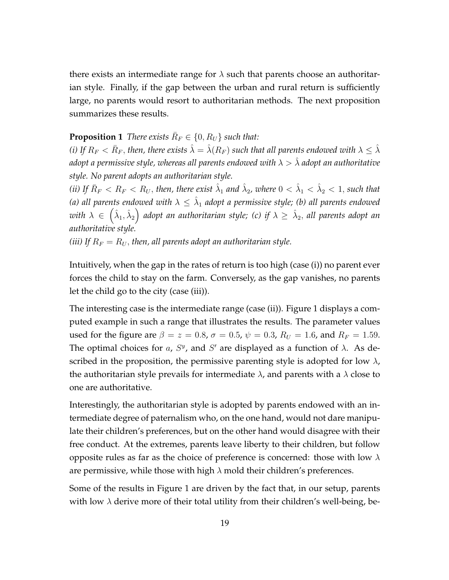there exists an intermediate range for  $\lambda$  such that parents choose an authoritarian style. Finally, if the gap between the urban and rural return is sufficiently large, no parents would resort to authoritarian methods. The next proposition summarizes these results.

## **Proposition 1** *There exists*  $\overline{R}_F \in \{0, R_U\}$  *such that:*

*(i) If*  $R_F < \bar{R}_F$ *, then, there exists*  $\hat{\lambda} = \hat{\lambda}(R_F)$  *such that all parents endowed with*  $\lambda \leq \hat{\lambda}$ *adopt a permissive style, whereas all parents endowed with*  $\lambda > \hat{\lambda}$  *adopt an authoritative style. No parent adopts an authoritarian style.*

(ii) If  $\bar{R}_F < R_F < R_U,$  then, there exist  $\hat{\lambda}_1$  and  $\hat{\lambda}_2$ , where  $0 < \hat{\lambda}_1 < \hat{\lambda}_2 < 1,$  such that (a) all parents endowed with  $\lambda \leq \hat{\lambda}_1$  adopt a permissive style; (b) all parents endowed  $\omega$ ith  $\lambda \,\in\, \big(\hat{\lambda}_1,\hat{\lambda}_2\big)$  adopt an authoritarian style; (c) if  $\lambda \,\geq\, \hat{\lambda}_2,$  all parents adopt an *authoritative style.*

*(iii)* If  $R_F = R_U$ , then, all parents adopt an authoritarian style.

Intuitively, when the gap in the rates of return is too high (case (i)) no parent ever forces the child to stay on the farm. Conversely, as the gap vanishes, no parents let the child go to the city (case (iii)).

The interesting case is the intermediate range (case (ii)). Figure 1 displays a computed example in such a range that illustrates the results. The parameter values used for the figure are  $β = z = 0.8$ ,  $σ = 0.5$ ,  $ψ = 0.3$ ,  $R_U = 1.6$ , and  $R_F = 1.59$ . The optimal choices for  $a$ ,  $S<sup>y</sup>$ , and  $S'$  are displayed as a function of  $\lambda$ . As described in the proposition, the permissive parenting style is adopted for low  $\lambda$ , the authoritarian style prevails for intermediate  $\lambda$ , and parents with a  $\lambda$  close to one are authoritative.

Interestingly, the authoritarian style is adopted by parents endowed with an intermediate degree of paternalism who, on the one hand, would not dare manipulate their children's preferences, but on the other hand would disagree with their free conduct. At the extremes, parents leave liberty to their children, but follow opposite rules as far as the choice of preference is concerned: those with low *λ* are permissive, while those with high *λ* mold their children's preferences.

Some of the results in Figure 1 are driven by the fact that, in our setup, parents with low  $\lambda$  derive more of their total utility from their children's well-being, be-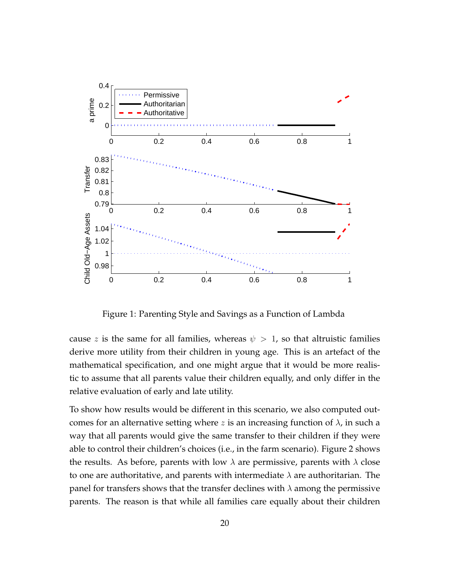

Figure 1: Parenting Style and Savings as a Function of Lambda

cause *z* is the same for all families, whereas  $\psi > 1$ , so that altruistic families derive more utility from their children in young age. This is an artefact of the mathematical specification, and one might argue that it would be more realistic to assume that all parents value their children equally, and only differ in the relative evaluation of early and late utility.

To show how results would be different in this scenario, we also computed outcomes for an alternative setting where  $z$  is an increasing function of  $\lambda$ , in such a way that all parents would give the same transfer to their children if they were able to control their children's choices (i.e., in the farm scenario). Figure 2 shows the results. As before, parents with low  $\lambda$  are permissive, parents with  $\lambda$  close to one are authoritative, and parents with intermediate  $\lambda$  are authoritarian. The panel for transfers shows that the transfer declines with *λ* among the permissive parents. The reason is that while all families care equally about their children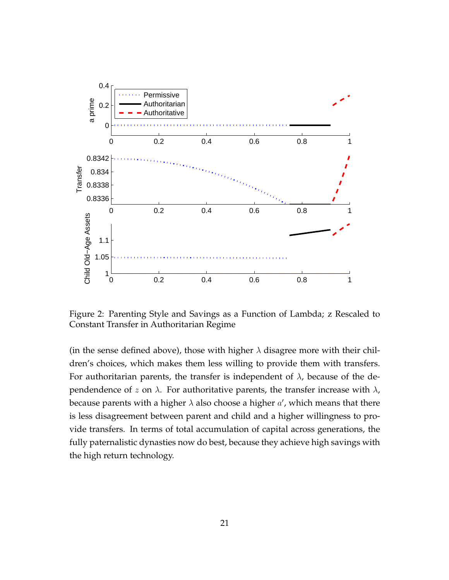

Figure 2: Parenting Style and Savings as a Function of Lambda; z Rescaled to Constant Transfer in Authoritarian Regime

(in the sense defined above), those with higher  $\lambda$  disagree more with their children's choices, which makes them less willing to provide them with transfers. For authoritarian parents, the transfer is independent of  $\lambda$ , because of the dependendence of *z* on *λ*. For authoritative parents, the transfer increase with *λ*, because parents with a higher *λ* also choose a higher *a ′* , which means that there is less disagreement between parent and child and a higher willingness to provide transfers. In terms of total accumulation of capital across generations, the fully paternalistic dynasties now do best, because they achieve high savings with the high return technology.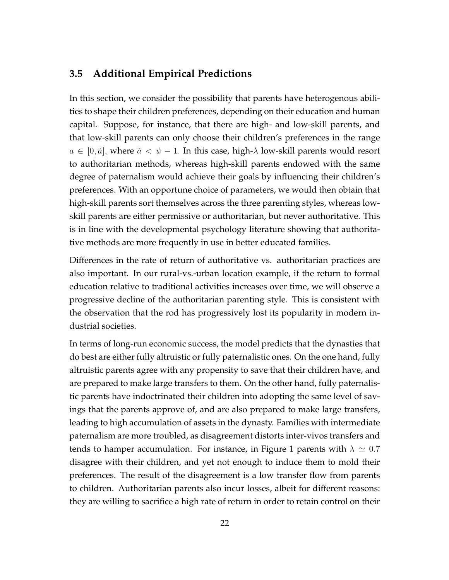### **3.5 Additional Empirical Predictions**

In this section, we consider the possibility that parents have heterogenous abilities to shape their children preferences, depending on their education and human capital. Suppose, for instance, that there are high- and low-skill parents, and that low-skill parents can only choose their children's preferences in the range  $a \in [0, \tilde{a}]$ , where  $\tilde{a} < \psi - 1$ . In this case, high- $\lambda$  low-skill parents would resort to authoritarian methods, whereas high-skill parents endowed with the same degree of paternalism would achieve their goals by influencing their children's preferences. With an opportune choice of parameters, we would then obtain that high-skill parents sort themselves across the three parenting styles, whereas lowskill parents are either permissive or authoritarian, but never authoritative. This is in line with the developmental psychology literature showing that authoritative methods are more frequently in use in better educated families.

Differences in the rate of return of authoritative vs. authoritarian practices are also important. In our rural-vs.-urban location example, if the return to formal education relative to traditional activities increases over time, we will observe a progressive decline of the authoritarian parenting style. This is consistent with the observation that the rod has progressively lost its popularity in modern industrial societies.

In terms of long-run economic success, the model predicts that the dynasties that do best are either fully altruistic or fully paternalistic ones. On the one hand, fully altruistic parents agree with any propensity to save that their children have, and are prepared to make large transfers to them. On the other hand, fully paternalistic parents have indoctrinated their children into adopting the same level of savings that the parents approve of, and are also prepared to make large transfers, leading to high accumulation of assets in the dynasty. Families with intermediate paternalism are more troubled, as disagreement distorts inter-vivos transfers and tends to hamper accumulation. For instance, in Figure 1 parents with  $\lambda \simeq 0.7$ disagree with their children, and yet not enough to induce them to mold their preferences. The result of the disagreement is a low transfer flow from parents to children. Authoritarian parents also incur losses, albeit for different reasons: they are willing to sacrifice a high rate of return in order to retain control on their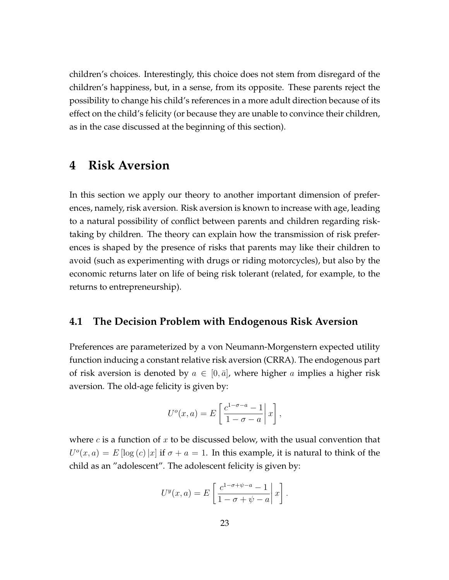children's choices. Interestingly, this choice does not stem from disregard of the children's happiness, but, in a sense, from its opposite. These parents reject the possibility to change his child's references in a more adult direction because of its effect on the child's felicity (or because they are unable to convince their children, as in the case discussed at the beginning of this section).

## **4 Risk Aversion**

In this section we apply our theory to another important dimension of preferences, namely, risk aversion. Risk aversion is known to increase with age, leading to a natural possibility of conflict between parents and children regarding risktaking by children. The theory can explain how the transmission of risk preferences is shaped by the presence of risks that parents may like their children to avoid (such as experimenting with drugs or riding motorcycles), but also by the economic returns later on life of being risk tolerant (related, for example, to the returns to entrepreneurship).

#### **4.1 The Decision Problem with Endogenous Risk Aversion**

Preferences are parameterized by a von Neumann-Morgenstern expected utility function inducing a constant relative risk aversion (CRRA). The endogenous part of risk aversion is denoted by  $a \in [0, \bar{a}]$ , where higher *a* implies a higher risk aversion. The old-age felicity is given by:

$$
U^{o}(x, a) = E\left[\left.\frac{c^{1-\sigma-a}-1}{1-\sigma-a}\right| x\right],
$$

where *c* is a function of *x* to be discussed below, with the usual convention that  $U^o(x,a) = E[\log(c) |x]$  if  $\sigma + a = 1$ . In this example, it is natural to think of the child as an "adolescent". The adolescent felicity is given by:

$$
U^y(x,a) = E\left[\left.\frac{c^{1-\sigma+\psi-a}-1}{1-\sigma+\psi-a}\right|x\right].
$$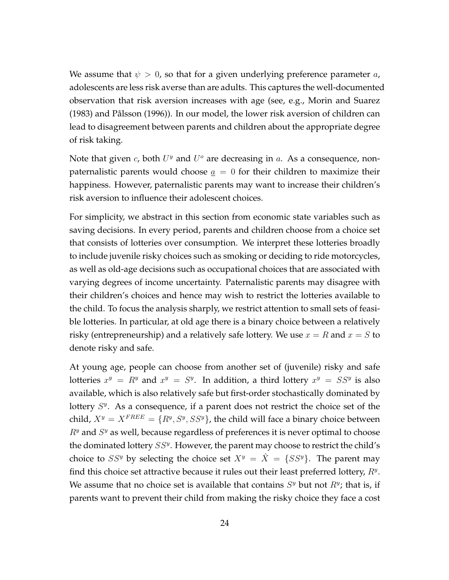We assume that  $\psi > 0$ , so that for a given underlying preference parameter  $a$ , adolescents are less risk averse than are adults. This captures the well-documented observation that risk aversion increases with age (see, e.g., Morin and Suarez  $(1983)$  and Pålsson  $(1996)$ ). In our model, the lower risk aversion of children can lead to disagreement between parents and children about the appropriate degree of risk taking.

Note that given *c*, both  $U^y$  and  $U^o$  are decreasing in *a*. As a consequence, nonpaternalistic parents would choose  $a = 0$  for their children to maximize their happiness. However, paternalistic parents may want to increase their children's risk aversion to influence their adolescent choices.

For simplicity, we abstract in this section from economic state variables such as saving decisions. In every period, parents and children choose from a choice set that consists of lotteries over consumption. We interpret these lotteries broadly to include juvenile risky choices such as smoking or deciding to ride motorcycles, as well as old-age decisions such as occupational choices that are associated with varying degrees of income uncertainty. Paternalistic parents may disagree with their children's choices and hence may wish to restrict the lotteries available to the child. To focus the analysis sharply, we restrict attention to small sets of feasible lotteries. In particular, at old age there is a binary choice between a relatively risky (entrepreneurship) and a relatively safe lottery. We use  $x = R$  and  $x = S$  to denote risky and safe.

At young age, people can choose from another set of (juvenile) risky and safe lotteries  $x^y = R^y$  and  $x^y = S^y$ . In addition, a third lottery  $x^y = SS^y$  is also available, which is also relatively safe but first-order stochastically dominated by lottery  $S<sup>y</sup>$ . As a consequence, if a parent does not restrict the choice set of the child,  $X^y = X^{FREE} = \{R^y, S^y, SS^y\}$ , the child will face a binary choice between *R<sup>y</sup>* and *S <sup>y</sup>* as well, because regardless of preferences it is never optimal to choose the dominated lottery *SS<sup>y</sup>* . However, the parent may choose to restrict the child's choice to *SS<sup>y</sup>* by selecting the choice set  $X^y = \hat{X} = \{SS^y\}$ . The parent may find this choice set attractive because it rules out their least preferred lottery, *R<sup>y</sup>* . We assume that no choice set is available that contains  $S<sup>y</sup>$  but not  $R<sup>y</sup>$ ; that is, if parents want to prevent their child from making the risky choice they face a cost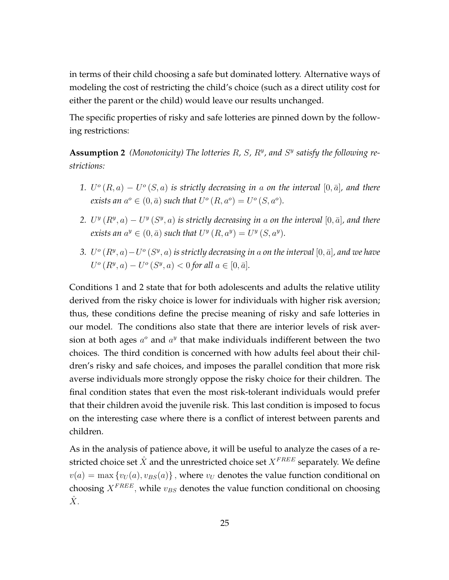in terms of their child choosing a safe but dominated lottery. Alternative ways of modeling the cost of restricting the child's choice (such as a direct utility cost for either the parent or the child) would leave our results unchanged.

The specific properties of risky and safe lotteries are pinned down by the following restrictions:

**Assumption 2** *(Monotonicity) The lotteries R, S, R<sup>y</sup> , and S y satisfy the following restrictions:*

- 1.  $U^o(R, a) U^o(S, a)$  *is strictly decreasing in a on the interval* [0, $\bar{a}$ ]*, and there exists an*  $a^o \in (0, \bar{a})$  *such that*  $U^o(R, a^o) = U^o(S, a^o)$ *.*
- 2. *U*<sup>*y*</sup> ( $R$ <sup>*y*</sup>, *a*)  *U<sup><i>y*</sup> ( $S$ <sup>*y*</sup>, *a*) is strictly decreasing in *a* on the interval [0,  $\bar{a}$ ], and there *exists an*  $a^y \in (0, \bar{a})$  *such that*  $U^y(R, a^y) = U^y(S, a^y)$ *.*
- *3. U*<sup> $o$ </sup> ( $R$ <sup>*y*</sup>, $a$ ) *−U*<sup> $o$ </sup> ( $S$ <sup>*y*</sup>, $a$ ) *is strictly decreasing in a* on the interval [0, $\bar{a}$ ]*, and we have*  $U^o(R^y, a) - U^o(S^y, a) < 0$  *for all*  $a \in [0, \bar{a}]$ *.*

Conditions 1 and 2 state that for both adolescents and adults the relative utility derived from the risky choice is lower for individuals with higher risk aversion; thus, these conditions define the precise meaning of risky and safe lotteries in our model. The conditions also state that there are interior levels of risk aversion at both ages  $a^o$  and  $a^y$  that make individuals indifferent between the two choices. The third condition is concerned with how adults feel about their children's risky and safe choices, and imposes the parallel condition that more risk averse individuals more strongly oppose the risky choice for their children. The final condition states that even the most risk-tolerant individuals would prefer that their children avoid the juvenile risk. This last condition is imposed to focus on the interesting case where there is a conflict of interest between parents and children.

As in the analysis of patience above, it will be useful to analyze the cases of a restricted choice set  $\hat{X}$  and the unrestricted choice set  $X^{FREE}$  separately. We define  $v(a) = \max \{v_U(a), v_{BS}(a)\}\$ , where  $v_U$  denotes the value function conditional on choosing  $X^{FREE}$ , while  $v_{BS}$  denotes the value function conditional on choosing  $\hat{X}$ .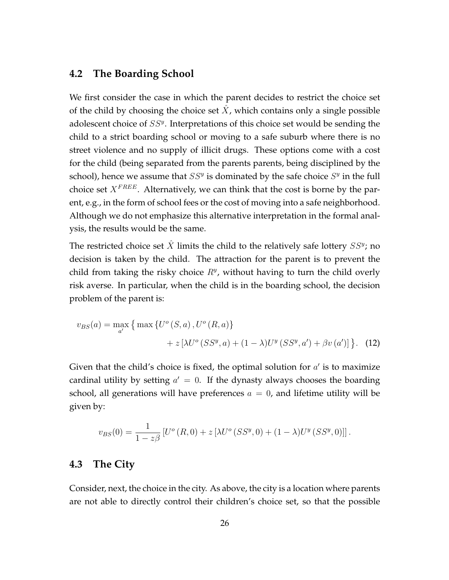### **4.2 The Boarding School**

We first consider the case in which the parent decides to restrict the choice set of the child by choosing the choice set *X*ˆ, which contains only a single possible adolescent choice of *SS<sup>y</sup>* . Interpretations of this choice set would be sending the child to a strict boarding school or moving to a safe suburb where there is no street violence and no supply of illicit drugs. These options come with a cost for the child (being separated from the parents parents, being disciplined by the school), hence we assume that  $SS<sup>y</sup>$  is dominated by the safe choice  $S<sup>y</sup>$  in the full choice set *XF REE*. Alternatively, we can think that the cost is borne by the parent, e.g., in the form of school fees or the cost of moving into a safe neighborhood. Although we do not emphasize this alternative interpretation in the formal analysis, the results would be the same.

The restricted choice set  $\hat{X}$  limits the child to the relatively safe lottery  $SS^y$ ; no decision is taken by the child. The attraction for the parent is to prevent the child from taking the risky choice *R<sup>y</sup>* , without having to turn the child overly risk averse. In particular, when the child is in the boarding school, the decision problem of the parent is:

$$
v_{BS}(a) = \max_{a'} \{ \max \{ U^o(S, a), U^o(R, a) \} + z [\lambda U^o(SS^y, a) + (1 - \lambda) U^y(SS^y, a') + \beta v(a')] \}.
$$
 (12)

Given that the child's choice is fixed, the optimal solution for *a ′* is to maximize cardinal utility by setting  $a' = 0$ . If the dynasty always chooses the boarding school, all generations will have preferences  $a = 0$ , and lifetime utility will be given by:

$$
v_{BS}(0) = \frac{1}{1 - z\beta} \left[ U^o(R, 0) + z \left[ \lambda U^o(SS^y, 0) + (1 - \lambda)U^y(SS^y, 0) \right] \right].
$$

### **4.3 The City**

Consider, next, the choice in the city. As above, the city is a location where parents are not able to directly control their children's choice set, so that the possible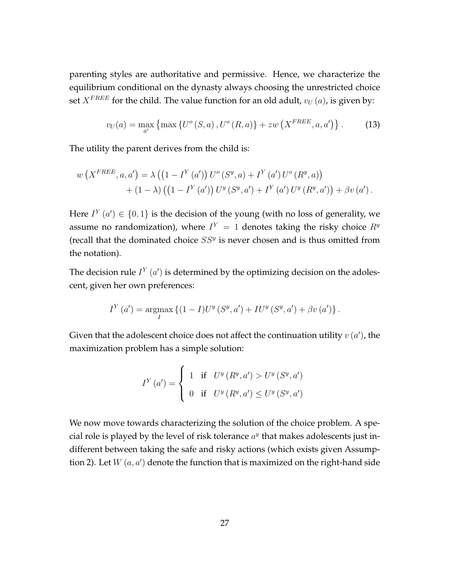parenting styles are authoritative and permissive. Hence, we characterize the equilibrium conditional on the dynasty always choosing the unrestricted choice set *X*<sup>FREE</sup> for the child. The value function for an old adult,  $v_U(a)$ , is given by:

$$
v_U(a) = \max_{a'} \left\{ \max \left\{ U^o \left( S, a \right), U^o \left( R, a \right) \right\} + z w \left( X^{FREE}, a, a' \right) \right\}. \tag{13}
$$

The utility the parent derives from the child is:

$$
w(X^{FREE}, a, a') = \lambda ((1 - I^{Y}(a')) U^{o}(S^{y}, a) + I^{Y}(a') U^{o}(R^{y}, a)) + (1 - \lambda) ((1 - I^{Y}(a')) U^{y}(S^{y}, a') + I^{Y}(a') U^{y}(R^{y}, a')) + \beta v(a').
$$

Here  $I^{Y}(a') \in \{0,1\}$  is the decision of the young (with no loss of generality, we assume no randomization), where  $I^{Y} = 1$  denotes taking the risky choice  $R^{y}$ (recall that the dominated choice *SS<sup>y</sup>* is never chosen and is thus omitted from the notation).

The decision rule  $I^{Y}(a')$  is determined by the optimizing decision on the adolescent, given her own preferences:

$$
I^{Y}(a') = \underset{I}{\text{argmax}} \left\{ (1 - I)U^{y}(S^{y}, a') + IU^{y}(S^{y}, a') + \beta v(a') \right\}.
$$

Given that the adolescent choice does not affect the continuation utility *v* (*a ′* ), the maximization problem has a simple solution:

$$
I^{Y}(a') = \begin{cases} 1 & \text{if } U^{y}(R^{y}, a') > U^{y}(S^{y}, a') \\ 0 & \text{if } U^{y}(R^{y}, a') \leq U^{y}(S^{y}, a') \end{cases}
$$

We now move towards characterizing the solution of the choice problem. A special role is played by the level of risk tolerance  $a^y$  that makes adolescents just indifferent between taking the safe and risky actions (which exists given Assumption 2). Let  $W\left( {a,a'} \right)$  denote the function that is maximized on the right-hand side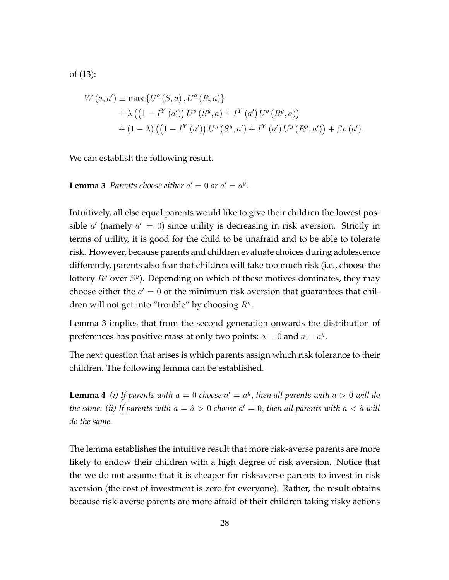of (13):

$$
W (a, a') \equiv \max \{ U^o (S, a), U^o (R, a) \} + \lambda \left( \left( 1 - I^Y (a') \right) U^o (S^y, a) + I^Y (a') U^o (R^y, a) \right) + (1 - \lambda) \left( \left( 1 - I^Y (a') \right) U^y (S^y, a') + I^Y (a') U^y (R^y, a') \right) + \beta v (a') .
$$

We can establish the following result.

**Lemma 3** Parents choose either  $a' = 0$  or  $a' = a^y$ .

Intuitively, all else equal parents would like to give their children the lowest possible *a ′* (namely *a ′* = 0) since utility is decreasing in risk aversion. Strictly in terms of utility, it is good for the child to be unafraid and to be able to tolerate risk. However, because parents and children evaluate choices during adolescence differently, parents also fear that children will take too much risk (i.e., choose the lottery  $R<sup>y</sup>$  over  $S<sup>y</sup>$ ). Depending on which of these motives dominates, they may choose either the  $a' = 0$  or the minimum risk aversion that guarantees that children will not get into "trouble" by choosing *R<sup>y</sup>* .

Lemma 3 implies that from the second generation onwards the distribution of preferences has positive mass at only two points:  $a = 0$  and  $a = a^y$ .

The next question that arises is which parents assign which risk tolerance to their children. The following lemma can be established.

**Lemma 4** *(i)* If parents with  $a = 0$  choose  $a' = a^y$ , then all parents with  $a > 0$  will do *the same. (ii) If parents with*  $a = \hat{a} > 0$  *<i>choose*  $a' = 0,$  *then all parents with*  $a < \hat{a}$  *will do the same.*

The lemma establishes the intuitive result that more risk-averse parents are more likely to endow their children with a high degree of risk aversion. Notice that the we do not assume that it is cheaper for risk-averse parents to invest in risk aversion (the cost of investment is zero for everyone). Rather, the result obtains because risk-averse parents are more afraid of their children taking risky actions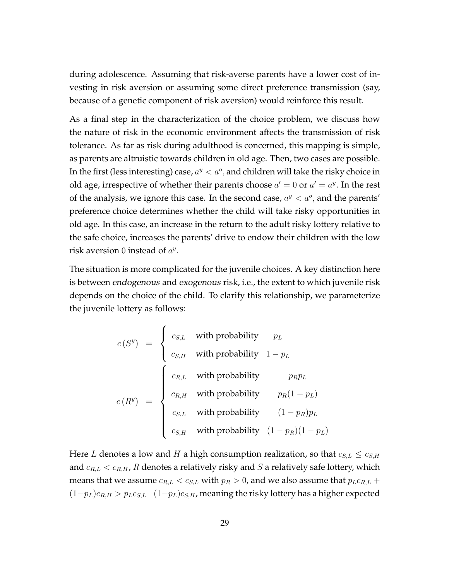during adolescence. Assuming that risk-averse parents have a lower cost of investing in risk aversion or assuming some direct preference transmission (say, because of a genetic component of risk aversion) would reinforce this result.

As a final step in the characterization of the choice problem, we discuss how the nature of risk in the economic environment affects the transmission of risk tolerance. As far as risk during adulthood is concerned, this mapping is simple, as parents are altruistic towards children in old age. Then, two cases are possible. In the first (less interesting) case,  $a^y < a^o$ , and children will take the risky choice in old age, irrespective of whether their parents choose  $a' = 0$  or  $a' = a^y$ . In the rest of the analysis, we ignore this case. In the second case,  $a^y < a^o$ , and the parents' preference choice determines whether the child will take risky opportunities in old age. In this case, an increase in the return to the adult risky lottery relative to the safe choice, increases the parents' drive to endow their children with the low risk aversion 0 instead of  $a^y$ .

The situation is more complicated for the juvenile choices. A key distinction here is between endogenous and exogenous risk, i.e., the extent to which juvenile risk depends on the choice of the child. To clarify this relationship, we parameterize the juvenile lottery as follows:

$$
c(S^{y}) = \begin{cases} c_{S,L} & \text{with probability} & p_{L} \\ c_{S,H} & \text{with probability} & 1 - p_{L} \end{cases}
$$

$$
c(R^{y}) = \begin{cases} c_{R,L} & \text{with probability} & p_{R}p_{L} \\ c_{R,H} & \text{with probability} & p_{R}(1 - p_{L}) \\ c_{S,L} & \text{with probability} & (1 - p_{R})p_{L} \\ c_{S,H} & \text{with probability} & (1 - p_{R})(1 - p_{L}) \end{cases}
$$

Here *L* denotes a low and *H* a high consumption realization, so that  $c_{S,L} \leq c_{S,H}$ and *cR,L < cR,H*, *R* denotes a relatively risky and *S* a relatively safe lottery, which means that we assume  $c_{R,L} < c_{S,L}$  with  $p_R > 0$ , and we also assume that  $p_L c_{R,L}$  +  $(1-p<sub>L</sub>)c<sub>R,H</sub> > p<sub>L</sub>c<sub>S,L</sub>+(1-p<sub>L</sub>)c<sub>S,H</sub>$ , meaning the risky lottery has a higher expected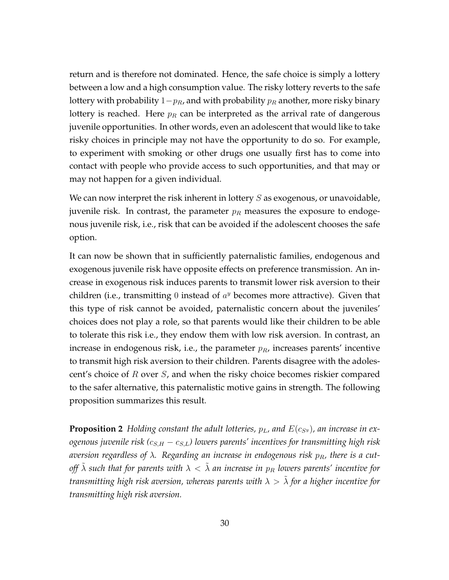return and is therefore not dominated. Hence, the safe choice is simply a lottery between a low and a high consumption value. The risky lottery reverts to the safe lottery with probability 1*−pR*, and with probability *p<sup>R</sup>* another, more risky binary lottery is reached. Here  $p_R$  can be interpreted as the arrival rate of dangerous juvenile opportunities. In other words, even an adolescent that would like to take risky choices in principle may not have the opportunity to do so. For example, to experiment with smoking or other drugs one usually first has to come into contact with people who provide access to such opportunities, and that may or may not happen for a given individual.

We can now interpret the risk inherent in lottery *S* as exogenous, or unavoidable, juvenile risk. In contrast, the parameter  $p_R$  measures the exposure to endogenous juvenile risk, i.e., risk that can be avoided if the adolescent chooses the safe option.

It can now be shown that in sufficiently paternalistic families, endogenous and exogenous juvenile risk have opposite effects on preference transmission. An increase in exogenous risk induces parents to transmit lower risk aversion to their children (i.e., transmitting 0 instead of *a <sup>y</sup>* becomes more attractive). Given that this type of risk cannot be avoided, paternalistic concern about the juveniles' choices does not play a role, so that parents would like their children to be able to tolerate this risk i.e., they endow them with low risk aversion. In contrast, an increase in endogenous risk, i.e., the parameter *pR*, increases parents' incentive to transmit high risk aversion to their children. Parents disagree with the adolescent's choice of *R* over *S*, and when the risky choice becomes riskier compared to the safer alternative, this paternalistic motive gains in strength. The following proposition summarizes this result.

**Proposition 2** *Holding constant the adult lotteries,*  $p<sub>L</sub>$ *, and*  $E(c<sub>S</sub>y)$ *, an increase in exogenous juvenile risk (cS,H − cS,L) lowers parents' incentives for transmitting high risk aversion regardless of λ. Regarding an increase in endogenous risk pR, there is a cutoff*  $\lambda$  such that for parents with  $\lambda < \lambda$  an increase in  $p_R$  lowers parents' incentive for *transmitting high risk aversion, whereas parents with*  $\lambda > \tilde{\lambda}$  for a higher incentive for *transmitting high risk aversion.*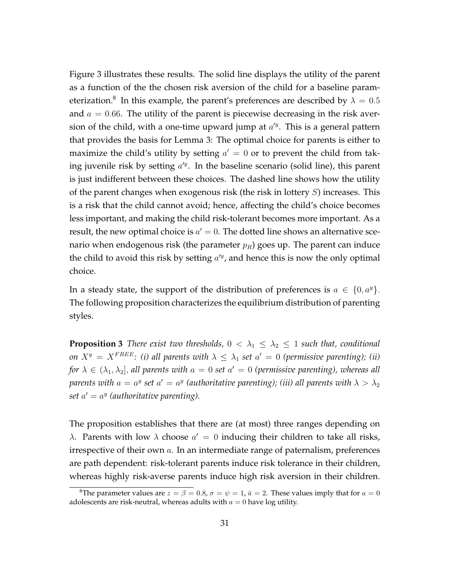Figure 3 illustrates these results. The solid line displays the utility of the parent as a function of the the chosen risk aversion of the child for a baseline parameterization. $^8$  In this example, the parent's preferences are described by  $\lambda=0.5$ and  $a = 0.66$ . The utility of the parent is piecewise decreasing in the risk aversion of the child, with a one-time upward jump at *a ′y* . This is a general pattern that provides the basis for Lemma 3: The optimal choice for parents is either to maximize the child's utility by setting  $a' = 0$  or to prevent the child from taking juvenile risk by setting *a ′y* . In the baseline scenario (solid line), this parent is just indifferent between these choices. The dashed line shows how the utility of the parent changes when exogenous risk (the risk in lottery *S*) increases. This is a risk that the child cannot avoid; hence, affecting the child's choice becomes less important, and making the child risk-tolerant becomes more important. As a result*,* the new optimal choice is  $a'=0.$  The dotted line shows an alternative scenario when endogenous risk (the parameter *pR*) goes up. The parent can induce the child to avoid this risk by setting *a ′y* , and hence this is now the only optimal choice.

In a steady state, the support of the distribution of preferences is  $a \in \{0, a^y\}$ . The following proposition characterizes the equilibrium distribution of parenting styles.

**Proposition 3** *There exist two thresholds,*  $0 < \lambda_1 \leq \lambda_2 \leq 1$  *such that, conditional on*  $X^y = X^{FREE}$ : (i) all parents with  $\lambda \leq \lambda_1$  set  $a' = 0$  (permissive parenting); (ii) *for*  $\lambda \in (\lambda_1, \lambda_2]$ , all parents with  $a = 0$  set  $a' = 0$  (permissive parenting), whereas all *parents with*  $a = a^y$  *set*  $a' = a^y$  *(authoritative parenting); (iii) all parents with*  $\lambda > \lambda_2$ *set*  $a' = a^y$  (authoritative parenting).

The proposition establishes that there are (at most) three ranges depending on *λ*. Parents with low *λ* choose *a ′* = 0 inducing their children to take all risks, irrespective of their own *a*. In an intermediate range of paternalism, preferences are path dependent: risk-tolerant parents induce risk tolerance in their children, whereas highly risk-averse parents induce high risk aversion in their children.

<sup>&</sup>lt;sup>8</sup>The parameter values are  $z = \beta = 0.8$ ,  $\sigma = \psi = 1$ ,  $\bar{a} = 2$ . These values imply that for  $a = 0$ adolescents are risk-neutral, whereas adults with  $a = 0$  have log utility.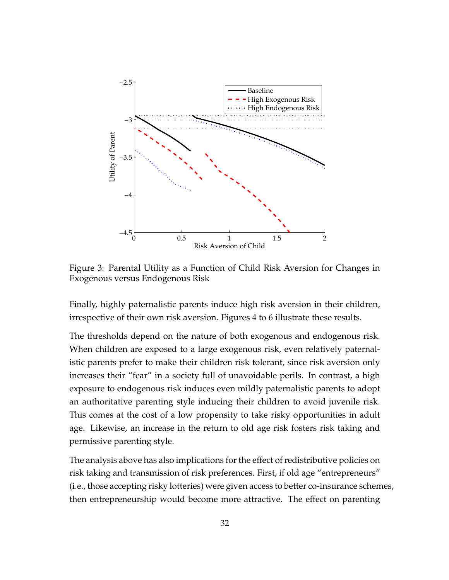

Figure 3: Parental Utility as a Function of Child Risk Aversion for Changes in Exogenous versus Endogenous Risk

Finally, highly paternalistic parents induce high risk aversion in their children, irrespective of their own risk aversion. Figures 4 to 6 illustrate these results.

The thresholds depend on the nature of both exogenous and endogenous risk. When children are exposed to a large exogenous risk, even relatively paternalistic parents prefer to make their children risk tolerant, since risk aversion only increases their "fear" in a society full of unavoidable perils. In contrast, a high exposure to endogenous risk induces even mildly paternalistic parents to adopt an authoritative parenting style inducing their children to avoid juvenile risk. This comes at the cost of a low propensity to take risky opportunities in adult age. Likewise, an increase in the return to old age risk fosters risk taking and permissive parenting style.

The analysis above has also implications for the effect of redistributive policies on risk taking and transmission of risk preferences. First, if old age "entrepreneurs" (i.e., those accepting risky lotteries) were given access to better co-insurance schemes, then entrepreneurship would become more attractive. The effect on parenting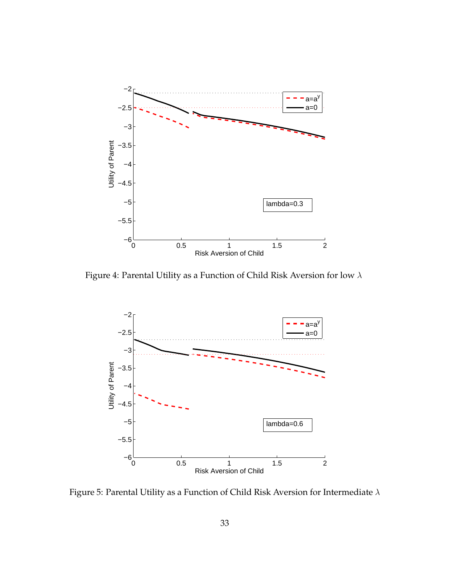

Figure 4: Parental Utility as a Function of Child Risk Aversion for low *λ*



Figure 5: Parental Utility as a Function of Child Risk Aversion for Intermediate *λ*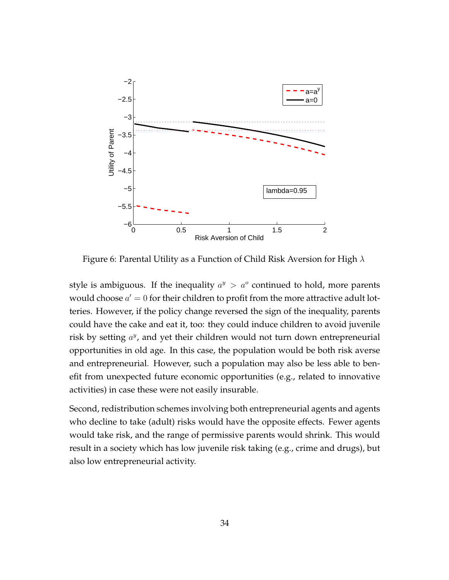

Figure 6: Parental Utility as a Function of Child Risk Aversion for High *λ*

style is ambiguous. If the inequality  $a^y > a^o$  continued to hold, more parents would choose  $a' = 0$  for their children to profit from the more attractive adult lotteries. However, if the policy change reversed the sign of the inequality, parents could have the cake and eat it, too: they could induce children to avoid juvenile risk by setting  $a^y$ , and yet their children would not turn down entrepreneurial opportunities in old age. In this case, the population would be both risk averse and entrepreneurial. However, such a population may also be less able to benefit from unexpected future economic opportunities (e.g., related to innovative activities) in case these were not easily insurable.

Second, redistribution schemes involving both entrepreneurial agents and agents who decline to take (adult) risks would have the opposite effects. Fewer agents would take risk, and the range of permissive parents would shrink. This would result in a society which has low juvenile risk taking (e.g., crime and drugs), but also low entrepreneurial activity.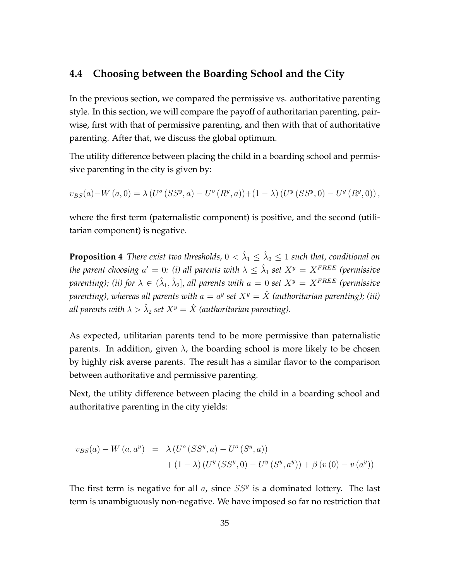### **4.4 Choosing between the Boarding School and the City**

In the previous section, we compared the permissive vs. authoritative parenting style. In this section, we will compare the payoff of authoritarian parenting, pairwise, first with that of permissive parenting, and then with that of authoritative parenting. After that, we discuss the global optimum.

The utility difference between placing the child in a boarding school and permissive parenting in the city is given by:

 $v_{BS}(a) - W(a,0) = \lambda \left( U^{\circ} (SS^y, a) - U^{\circ} (R^y, a) \right) + (1 - \lambda) \left( U^y (SS^y, 0) - U^y (R^y, 0) \right),$ 

where the first term (paternalistic component) is positive, and the second (utilitarian component) is negative.

**Proposition 4** *There exist two thresholds,*  $0 < \hat{\lambda}_1 \leq \hat{\lambda}_2 \leq 1$  *such that, conditional on the parent choosing*  $a' = 0$ *: (i) all parents with*  $\lambda \leq \hat{\lambda}_1$  *set*  $X^y = X^{FREE}$  *(permissive parenting); (ii) for*  $\lambda \in (\hat{\lambda}_1, \hat{\lambda}_2]$ *, all parents with*  $a = 0$  *set*  $X^y = X^{FREE}$  *(permissive* parenting), whereas all parents with  $a = a^y$  set  $X^y = \hat{X}$  (authoritarian parenting); (iii)  $\hat{\mathcal{A}}$  *all parents with*  $\lambda > \hat{\lambda}_2$  *set*  $X^y = \hat{X}$  *(authoritarian parenting).* 

As expected, utilitarian parents tend to be more permissive than paternalistic parents. In addition, given  $\lambda$ , the boarding school is more likely to be chosen by highly risk averse parents. The result has a similar flavor to the comparison between authoritative and permissive parenting.

Next, the utility difference between placing the child in a boarding school and authoritative parenting in the city yields:

$$
v_{BS}(a) - W(a, a^{y}) = \lambda (U^{o}(SS^{y}, a) - U^{o}(S^{y}, a)) + (1 - \lambda) (U^{y}(SS^{y}, 0) - U^{y}(S^{y}, a^{y})) + \beta (v (0) - v (a^{y}))
$$

The first term is negative for all *a*, since *SS<sup>y</sup>* is a dominated lottery. The last term is unambiguously non-negative. We have imposed so far no restriction that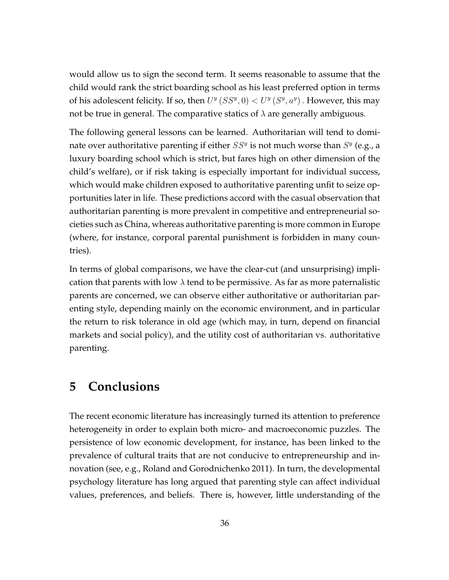would allow us to sign the second term. It seems reasonable to assume that the child would rank the strict boarding school as his least preferred option in terms of his adolescent felicity. If so, then  $U^y(SS^y, 0) < U^y(S^y, a^y)$ . However, this may not be true in general. The comparative statics of *λ* are generally ambiguous.

The following general lessons can be learned. Authoritarian will tend to dominate over authoritative parenting if either  $SS^y$  is not much worse than  $S^y$  (e.g., a luxury boarding school which is strict, but fares high on other dimension of the child's welfare), or if risk taking is especially important for individual success, which would make children exposed to authoritative parenting unfit to seize opportunities later in life. These predictions accord with the casual observation that authoritarian parenting is more prevalent in competitive and entrepreneurial societies such as China, whereas authoritative parenting is more common in Europe (where, for instance, corporal parental punishment is forbidden in many countries).

In terms of global comparisons, we have the clear-cut (and unsurprising) implication that parents with low  $\lambda$  tend to be permissive. As far as more paternalistic parents are concerned, we can observe either authoritative or authoritarian parenting style, depending mainly on the economic environment, and in particular the return to risk tolerance in old age (which may, in turn, depend on financial markets and social policy), and the utility cost of authoritarian vs. authoritative parenting.

## **5 Conclusions**

The recent economic literature has increasingly turned its attention to preference heterogeneity in order to explain both micro- and macroeconomic puzzles. The persistence of low economic development, for instance, has been linked to the prevalence of cultural traits that are not conducive to entrepreneurship and innovation (see, e.g., Roland and Gorodnichenko 2011). In turn, the developmental psychology literature has long argued that parenting style can affect individual values, preferences, and beliefs. There is, however, little understanding of the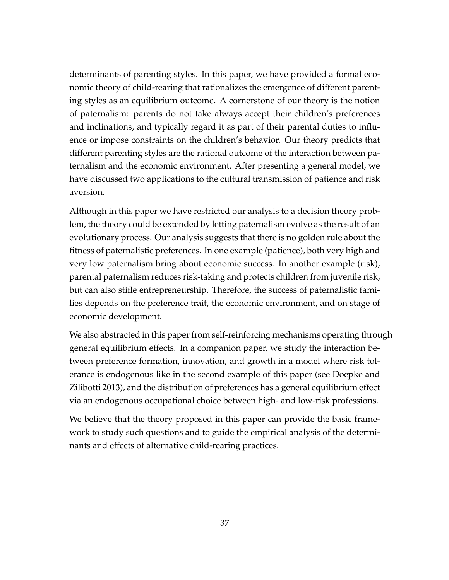determinants of parenting styles. In this paper, we have provided a formal economic theory of child-rearing that rationalizes the emergence of different parenting styles as an equilibrium outcome. A cornerstone of our theory is the notion of paternalism: parents do not take always accept their children's preferences and inclinations, and typically regard it as part of their parental duties to influence or impose constraints on the children's behavior. Our theory predicts that different parenting styles are the rational outcome of the interaction between paternalism and the economic environment. After presenting a general model, we have discussed two applications to the cultural transmission of patience and risk aversion.

Although in this paper we have restricted our analysis to a decision theory problem, the theory could be extended by letting paternalism evolve as the result of an evolutionary process. Our analysis suggests that there is no golden rule about the fitness of paternalistic preferences. In one example (patience), both very high and very low paternalism bring about economic success. In another example (risk), parental paternalism reduces risk-taking and protects children from juvenile risk, but can also stifle entrepreneurship. Therefore, the success of paternalistic families depends on the preference trait, the economic environment, and on stage of economic development.

We also abstracted in this paper from self-reinforcing mechanisms operating through general equilibrium effects. In a companion paper, we study the interaction between preference formation, innovation, and growth in a model where risk tolerance is endogenous like in the second example of this paper (see Doepke and Zilibotti 2013), and the distribution of preferences has a general equilibrium effect via an endogenous occupational choice between high- and low-risk professions.

We believe that the theory proposed in this paper can provide the basic framework to study such questions and to guide the empirical analysis of the determinants and effects of alternative child-rearing practices.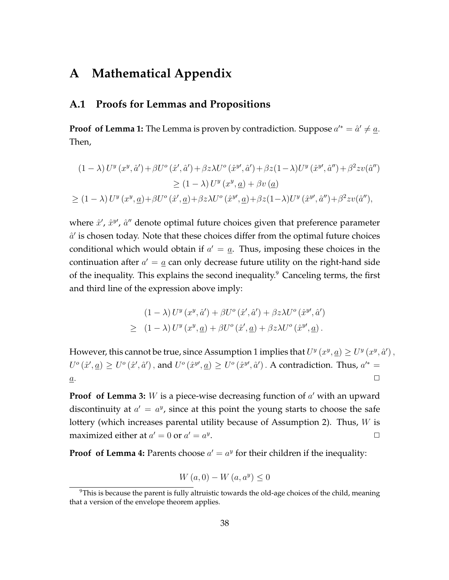## **A Mathematical Appendix**

### **A.1 Proofs for Lemmas and Propositions**

**Proof of Lemma 1:** The Lemma is proven by contradiction. Suppose  $a'^* = \hat{a}' \neq \underline{a}$ . Then,

$$
(1 - \lambda) U^y (x^y, \hat{a}') + \beta U^o (\hat{x}', \hat{a}') + \beta z \lambda U^o (\hat{x}^y, \hat{a}') + \beta z (1 - \lambda) U^y (\hat{x}^y, \hat{a}'') + \beta^2 z v (\hat{a}'')
$$
  
\n
$$
\ge (1 - \lambda) U^y (x^y, \underline{a}) + \beta v (\underline{a})
$$
  
\n
$$
\ge (1 - \lambda) U^y (x^y, \underline{a}) + \beta U^o (\hat{x}', \underline{a}) + \beta z \lambda U^o (\hat{x}^y, \underline{a}) + \beta z (1 - \lambda) U^y (\hat{x}^y, \hat{a}'') + \beta^2 z v (\hat{a}''),
$$

where  $\hat{x}'$ ,  $\hat{x}^{y'}$ ,  $\hat{a}''$  denote optimal future choices given that preference parameter  $\hat{a}'$  is chosen today. Note that these choices differ from the optimal future choices conditional which would obtain if  $a' = a$ . Thus, imposing these choices in the continuation after  $a' = \underline{a}$  can only decrease future utility on the right-hand side of the inequality. This explains the second inequality. $9$  Canceling terms, the first and third line of the expression above imply:

$$
(1 - \lambda) U^{y} (x^{y}, \hat{a}') + \beta U^{\circ} (\hat{x}', \hat{a}') + \beta z \lambda U^{\circ} (\hat{x}^{y}, \hat{a}')
$$
  
\n
$$
\geq (1 - \lambda) U^{y} (x^{y}, \underline{a}) + \beta U^{\circ} (\hat{x}', \underline{a}) + \beta z \lambda U^{\circ} (\hat{x}^{y}, \underline{a}).
$$

However, this cannot be true, since Assumption 1 implies that  $U^y(x^y, a) \ge U^y(x^y, a')$ ,  $U^o(\hat{x}', \underline{a}) \geq U^o(\hat{x}', \hat{a}')$ , and  $U^o(\hat{x}^y', \underline{a}) \geq U^o(\hat{x}^y', \hat{a}')$ . A contradiction. Thus,  $a'^* =$  $a$ .

**Proof of Lemma 3:** *W* is a piece-wise decreasing function of *a ′* with an upward discontinuity at  $a' = a^y$ , since at this point the young starts to choose the safe lottery (which increases parental utility because of Assumption 2). Thus, *W* is maximized either at  $a' = 0$  or  $a' = a^y$ . *✷*

**Proof of Lemma 4:** Parents choose  $a' = a^y$  for their children if the inequality:

$$
W\left(a,0\right) - W\left(a,a^y\right) \le 0
$$

 $9$ This is because the parent is fully altruistic towards the old-age choices of the child, meaning that a version of the envelope theorem applies.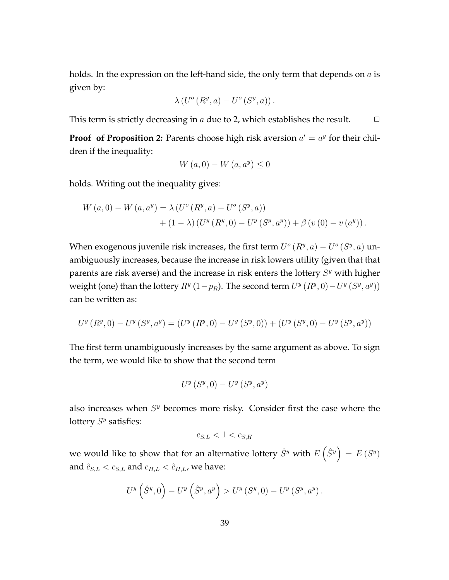holds. In the expression on the left-hand side, the only term that depends on *a* is given by:

$$
\lambda\left(U^o\left(R^y,a\right) - U^o\left(S^y,a\right)\right).
$$

This term is strictly decreasing in  $a$  due to 2, which establishes the result.  $\Box$ 

**Proof of Proposition 2:** Parents choose high risk aversion  $a' = a^y$  for their children if the inequality:

$$
W\left(a,0\right) - W\left(a,a^y\right) \le 0
$$

holds. Writing out the inequality gives:

$$
W (a, 0) - W (a, ay) = \lambda (Uo (Ry, a) - Uo (Sy, a)) + (1 - \lambda) (Uy (Ry, 0) - Uy (Sy, ay)) + \beta (v (0) - v (ay)).
$$

When exogenous juvenile risk increases, the first term  $U^o(R^y, a) - U^o(S^y, a)$  unambiguously increases, because the increase in risk lowers utility (given that that parents are risk averse) and the increase in risk enters the lottery  $S<sup>y</sup>$  with higher weight (one) than the lottery  $R^y$  (1*−p<sub>R</sub>*). The second term  $U^y(R^y, 0) - U^y(S^y, a^y)$ ) can be written as:

$$
U^{y}\left(R^{y},0\right) - U^{y}\left(S^{y},a^{y}\right) = \left(U^{y}\left(R^{y},0\right) - U^{y}\left(S^{y},0\right)\right) + \left(U^{y}\left(S^{y},0\right) - U^{y}\left(S^{y},a^{y}\right)\right)
$$

The first term unambiguously increases by the same argument as above. To sign the term, we would like to show that the second term

$$
U^{y}\left(S^{y},0\right)-U^{y}\left(S^{y},a^{y}\right)
$$

also increases when  $S<sup>y</sup>$  becomes more risky. Consider first the case where the lottery  $S<sup>y</sup>$  satisfies:

$$
c_{S,L} < 1 < c_{S,H}
$$

we would like to show that for an alternative lottery  $\hat{S}^y$  with  $E\left(\hat{S}^y\right) = E\left(S^y\right)$ and  $\hat{c}_{S,L} < c_{S,L}$  and  $c_{H,L} < \hat{c}_{H,L}$ , we have:

$$
U^y\left(\hat{S}^y,0\right) - U^y\left(\hat{S}^y,a^y\right) > U^y\left(S^y,0\right) - U^y\left(S^y,a^y\right).
$$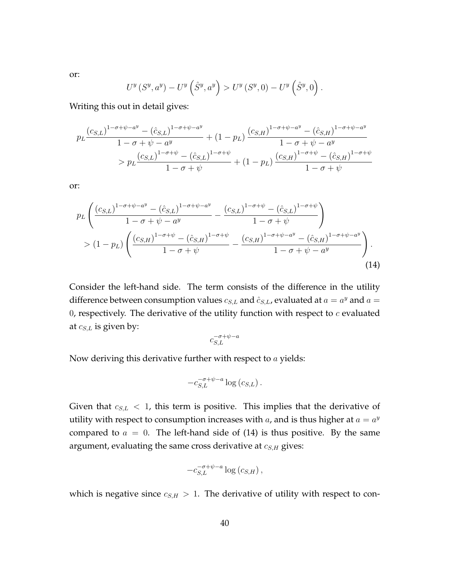$U^y\left(S^y,a^y\right)-U^y\left(\hat{S}^y,a^y\right) > U^y\left(S^y,0\right)-U^y\left(\hat{S}^y,0\right).$ 

Writing this out in detail gives:

$$
p_L \frac{(c_{S,L})^{1-\sigma+\psi-a^y} - (\hat{c}_{S,L})^{1-\sigma+\psi-a^y}}{1-\sigma+\psi-a^y} + (1-p_L) \frac{(c_{S,H})^{1-\sigma+\psi-a^y} - (\hat{c}_{S,H})^{1-\sigma+\psi-a^y}}{1-\sigma+\psi-a^y}
$$
  
> 
$$
p_L \frac{(c_{S,L})^{1-\sigma+\psi} - (\hat{c}_{S,L})^{1-\sigma+\psi}}{1-\sigma+\psi} + (1-p_L) \frac{(c_{S,H})^{1-\sigma+\psi} - (\hat{c}_{S,H})^{1-\sigma+\psi}}{1-\sigma+\psi}
$$

or:

$$
p_L \left( \frac{(c_{S,L})^{1-\sigma+\psi-a^y} - (\hat{c}_{S,L})^{1-\sigma+\psi-a^y}}{1-\sigma+\psi-a^y} - \frac{(c_{S,L})^{1-\sigma+\psi} - (\hat{c}_{S,L})^{1-\sigma+\psi}}{1-\sigma+\psi} \right) > (1-p_L) \left( \frac{(c_{S,H})^{1-\sigma+\psi} - (\hat{c}_{S,H})^{1-\sigma+\psi}}{1-\sigma+\psi} - \frac{(c_{S,H})^{1-\sigma+\psi-a^y} - (\hat{c}_{S,H})^{1-\sigma+\psi-a^y}}{1-\sigma+\psi-a^y} \right).
$$
\n(14)

Consider the left-hand side. The term consists of the difference in the utility difference between consumption values  $c_{S,L}$  and  $\hat{c}_{S,L}$ , evaluated at  $a = a^y$  and  $a = a$ 0, respectively. The derivative of the utility function with respect to *c* evaluated at *cS,L* is given by:

$$
c_{S,L}^{-\sigma+\psi-a}
$$

Now deriving this derivative further with respect to *a* yields:

$$
-c_{S,L}^{-\sigma+\psi-a}\log\left(c_{S,L}\right).
$$

Given that  $c_{S,L}$  < 1, this term is positive. This implies that the derivative of utility with respect to consumption increases with  $a$ , and is thus higher at  $a = a^y$ compared to  $a = 0$ . The left-hand side of (14) is thus positive. By the same argument, evaluating the same cross derivative at *cS,H* gives:

$$
-c_{S,L}^{-\sigma+\psi-a}\log\left( c_{S,H}\right) ,
$$

which is negative since  $c_{S,H} > 1$ . The derivative of utility with respect to con-

or: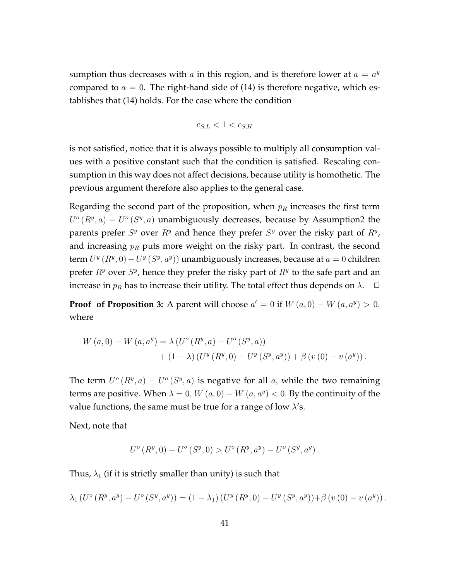sumption thus decreases with  $a$  in this region, and is therefore lower at  $a = a^y$ compared to  $a = 0$ . The right-hand side of  $(14)$  is therefore negative, which establishes that (14) holds. For the case where the condition

$$
c_{S,L} < 1 < c_{S,H}
$$

is not satisfied, notice that it is always possible to multiply all consumption values with a positive constant such that the condition is satisfied. Rescaling consumption in this way does not affect decisions, because utility is homothetic. The previous argument therefore also applies to the general case.

Regarding the second part of the proposition, when  $p_R$  increases the first term  $U^o(R^y, a) - U^o(S^y, a)$  unambiguously decreases, because by Assumption2 the parents prefer  $S<sup>y</sup>$  over  $R<sup>y</sup>$  and hence they prefer  $S<sup>y</sup>$  over the risky part of  $R<sup>y</sup>$ , and increasing  $p<sub>R</sub>$  puts more weight on the risky part. In contrast, the second term  $U^y(R^y,0) - U^y(S^y,a^y)$  unambiguously increases, because at  $a = 0$  children prefer *R<sup>y</sup>* over *S y* , hence they prefer the risky part of *R<sup>y</sup>* to the safe part and an increase in  $p_R$  has to increase their utility. The total effect thus depends on  $\lambda$ .  $\Box$ 

**Proof of Proposition 3:** A parent will choose  $a' = 0$  if  $W(a, 0) - W(a, a^y) > 0$ , where

$$
W (a, 0) - W (a, ay) = \lambda (Uo (Ry, a) - Uo (Sy, a)) + (1 - \lambda) (Uy (Ry, 0) - Uy (Sy, ay)) + \beta (v (0) - v (ay)).
$$

The term  $U^o(R^y, a) - U^o(S^y, a)$  is negative for all *a*, while the two remaining terms are positive. When  $\lambda = 0$ ,  $W(a, 0) - W(a, a^y) < 0$ . By the continuity of the value functions, the same must be true for a range of low *λ*'s.

Next, note that

$$
U^{o}(R^{y},0) - U^{o}(S^{y},0) > U^{o}(R^{y}, a^{y}) - U^{o}(S^{y}, a^{y}).
$$

Thus,  $\lambda_1$  (if it is strictly smaller than unity) is such that

$$
\lambda_1\left(U^o\left(R^y,a^y\right)-U^o\left(S^y,a^y\right)\right)=\left(1-\lambda_1\right)\left(U^y\left(R^y,0\right)-U^y\left(S^y,a^y\right)\right)+\beta\left(v\left(0\right)-v\left(a^y\right)\right).
$$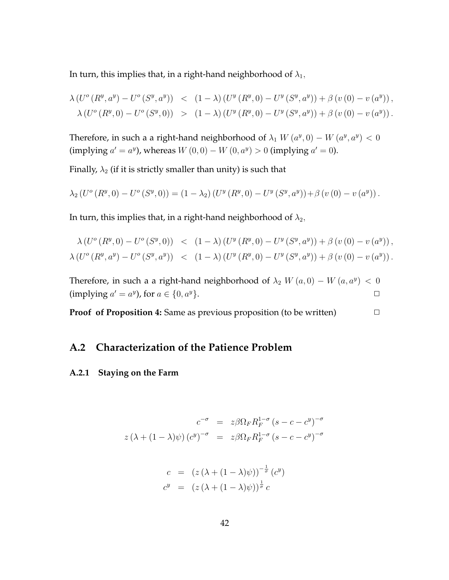In turn, this implies that, in a right-hand neighborhood of  $\lambda_1$ ,

$$
\lambda (U^o (R^y, a^y) - U^o (S^y, a^y)) < (1 - \lambda) (U^y (R^y, 0) - U^y (S^y, a^y)) + \beta (v (0) - v (a^y)),
$$
  

$$
\lambda (U^o (R^y, 0) - U^o (S^y, 0)) > (1 - \lambda) (U^y (R^y, 0) - U^y (S^y, a^y)) + \beta (v (0) - v (a^y)).
$$

Therefore, in such a a right-hand neighborhood of  $\lambda_1$   $W(a^y, 0) - W(a^y, a^y) < 0$  $\sum_{i=1}^{\infty}$  (implying  $a' = a^y$ ), whereas  $W(0,0) - W(0,a^y) > 0$  (implying  $a' = 0$ ).

Finally,  $\lambda_2$  (if it is strictly smaller than unity) is such that

$$
\lambda_2\left(U^o\left(R^y,0\right)-U^o\left(S^y,0\right)\right)=\left(1-\lambda_2\right)\left(U^y\left(R^y,0\right)-U^y\left(S^y,a^y\right)\right)+\beta\left(v\left(0\right)-v\left(a^y\right)\right).
$$

In turn, this implies that, in a right-hand neighborhood of  $\lambda_2$ ,

$$
\lambda (U^o (R^y, 0) - U^o (S^y, 0)) < (1 - \lambda) (U^y (R^y, 0) - U^y (S^y, a^y)) + \beta (v (0) - v (a^y)),
$$
\n
$$
\lambda (U^o (R^y, a^y) - U^o (S^y, a^y)) < (1 - \lambda) (U^y (R^y, 0) - U^y (S^y, a^y)) + \beta (v (0) - v (a^y)).
$$

Therefore, in such a a right-hand neighborhood of  $\lambda_2$   $W(a,0) - W(a,a^y) < 0$  $(\text{implying } a' = a^y)$ , for  $a \in \{0, a^y\}.$ 

**Proof of Proposition 4:** Same as previous proposition (to be written) □

## **A.2 Characterization of the Patience Problem**

#### **A.2.1 Staying on the Farm**

$$
c^{-\sigma} = z\beta \Omega_F R_F^{1-\sigma} (s - c - c^y)^{-\sigma}
$$

$$
z(\lambda + (1 - \lambda)\psi) (c^y)^{-\sigma} = z\beta \Omega_F R_F^{1-\sigma} (s - c - c^y)^{-\sigma}
$$

$$
c = (z(\lambda + (1 - \lambda)\psi))^{-\frac{1}{\sigma}} (c^y)
$$
  

$$
c^y = (z(\lambda + (1 - \lambda)\psi))^{\frac{1}{\sigma}} c
$$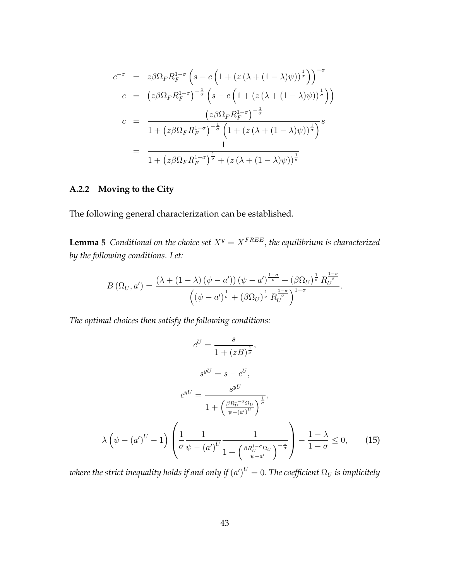$$
c^{-\sigma} = z\beta \Omega_F R_F^{1-\sigma} \left( s - c \left( 1 + (z(\lambda + (1-\lambda)\psi))^{\frac{1}{\sigma}} \right) \right)^{-\sigma}
$$
  
\n
$$
c = (z\beta \Omega_F R_F^{1-\sigma})^{-\frac{1}{\sigma}} \left( s - c \left( 1 + (z(\lambda + (1-\lambda)\psi))^{\frac{1}{\sigma}} \right) \right)
$$
  
\n
$$
c = \frac{(z\beta \Omega_F R_F^{1-\sigma})^{-\frac{1}{\sigma}}}{1 + (z\beta \Omega_F R_F^{1-\sigma})^{-\frac{1}{\sigma}} \left( 1 + (z(\lambda + (1-\lambda)\psi))^{\frac{1}{\sigma}} \right)^s}
$$
  
\n
$$
= \frac{1}{1 + (z\beta \Omega_F R_F^{1-\sigma})^{\frac{1}{\sigma}} + (z(\lambda + (1-\lambda)\psi))^{\frac{1}{\sigma}}}
$$

### **A.2.2 Moving to the City**

The following general characterization can be established.

**Lemma 5** *Conditional on the choice set*  $X^y = X^{FREE}$ *, the equilibrium is characterized by the following conditions. Let:*

$$
B\left(\Omega_{U},a'\right)=\frac{\left(\lambda+\left(1-\lambda\right)\left(\psi-a'\right)\right)\left(\psi-a'\right)^{\frac{1-\sigma}{\sigma}}+\left(\beta\Omega_{U}\right)^{\frac{1}{\sigma}}R_{U}^{\frac{1-\sigma}{\sigma}}}{\left(\left(\psi-a'\right)^{\frac{1}{\sigma}}+\left(\beta\Omega_{U}\right)^{\frac{1}{\sigma}}R_{U}^{\frac{1-\sigma}{\sigma}}\right)^{1-\sigma}}.
$$

*The optimal choices then satisfy the following conditions:*

$$
c^{U} = \frac{s}{1 + (zB)^{\frac{1}{\sigma}}},
$$

$$
s^{yU} = s - c^{U},
$$

$$
c^{yU} = \frac{s^{yU}}{1 + \left(\frac{\beta R_{U}^{1-\sigma} \Omega_{U}}{\psi - (a')^{U}}\right)^{\frac{1}{\sigma}}},
$$

$$
\lambda \left(\psi - (a')^{U} - 1\right) \left(\frac{1}{\sigma} \frac{1}{\psi - (a')^{U}} \frac{1}{1 + \left(\frac{\beta R_{U}^{1-\sigma} \Omega_{U}}{\psi - a'}\right)^{-\frac{1}{\sigma}}}\right) - \frac{1 - \lambda}{1 - \sigma} \le 0,
$$
(15)

 $\omega$  *where the strict inequality holds if and only if*  $(a')^U=0.$  *The coefficient*  $\Omega_U$  *is implicitely*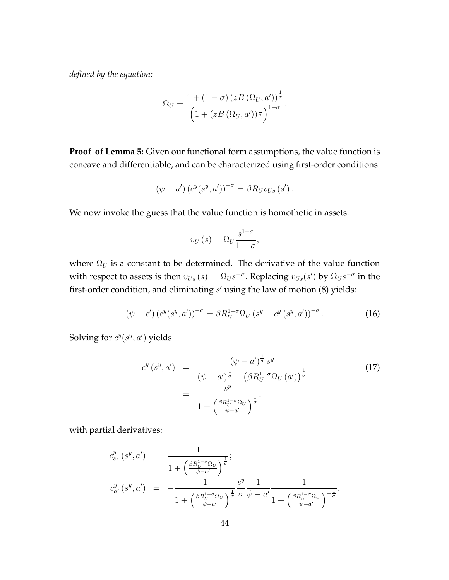*defined by the equation:*

$$
\Omega_U = \frac{1 + (1 - \sigma) (zB(\Omega_U, a'))^{\frac{1}{\sigma}}}{\left(1 + (zB(\Omega_U, a'))^{\frac{1}{\sigma}}\right)^{1 - \sigma}}.
$$

**Proof of Lemma 5:** Given our functional form assumptions, the value function is concave and differentiable, and can be characterized using first-order conditions:

$$
(\psi - a') (c^{y}(s^{y}, a'))^{-\sigma} = \beta R_{U} v_{Us} (s') .
$$

We now invoke the guess that the value function is homothetic in assets:

$$
v_U(s) = \Omega_U \frac{s^{1-\sigma}}{1-\sigma},
$$

where  $\Omega_U$  is a constant to be determined. The derivative of the value function with respect to assets is then  $v_{Us}(s) = \Omega_{US}^{-\sigma}$ . Replacing  $v_{Us}(s')$  by  $\Omega_{US}^{-\sigma}$  in the first-order condition, and eliminating *s ′* using the law of motion (8) yields:

$$
(\psi - c') \left( c^y(s^y, a') \right)^{-\sigma} = \beta R_U^{1-\sigma} \Omega_U \left( s^y - c^y \left( s^y, a' \right) \right)^{-\sigma} . \tag{16}
$$

Solving for  $c^y(s^y, a')$  yields

$$
c^{y}(s^{y}, a') = \frac{(\psi - a')^{\frac{1}{\sigma}} s^{y}}{(\psi - a')^{\frac{1}{\sigma}} + (\beta R_U^{1-\sigma} \Omega_U(a'))^{\frac{1}{\sigma}}}
$$
(17)  

$$
= \frac{s^{y}}{1 + (\frac{\beta R_U^{1-\sigma} \Omega_U}{\psi - a'})^{\frac{1}{\sigma}}},
$$

with partial derivatives:

$$
c_{s}^{y} (s^{y}, a') = \frac{1}{1 + \left(\frac{\beta R_{U}^{1-\sigma} \Omega_{U}}{\psi - a'}\right)^{\frac{1}{\sigma}}};
$$
  

$$
c_{a'}^{y} (s^{y}, a') = -\frac{1}{1 + \left(\frac{\beta R_{U}^{1-\sigma} \Omega_{U}}{\psi - a'}\right)^{\frac{1}{\sigma}}} \frac{s^{y}}{\sigma} \frac{1}{\psi - a'} \frac{1}{1 + \left(\frac{\beta R_{U}^{1-\sigma} \Omega_{U}}{\psi - a'}\right)^{-\frac{1}{\sigma}}}.
$$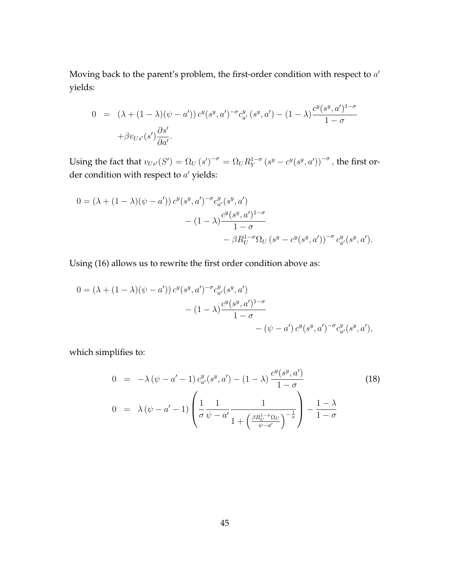Moving back to the parent's problem, the first-order condition with respect to *a ′* yields:

$$
0 = (\lambda + (1 - \lambda)(\psi - a')) c^{y}(s^{y}, a')^{-\sigma} c^{y}_{a'}(s^{y}, a') - (1 - \lambda) \frac{c^{y}(s^{y}, a')^{1-\sigma}}{1 - \sigma} + \beta v_{Us'}(s') \frac{\partial s'}{\partial a'}.
$$

Using the fact that  $v_{Us'}(S') = \Omega_U(s')^{-\sigma} = \Omega_U R_Y^{1-\sigma}(s^y - c^y(s^y, a'))^{-\sigma}$ , the first order condition with respect to *a ′* yields:

$$
0 = (\lambda + (1 - \lambda)(\psi - a')) c^{y}(s^{y}, a')^{-\sigma} c_{a'}^{y}(s^{y}, a')
$$
  

$$
- (1 - \lambda) \frac{c^{y}(s^{y}, a')^{1-\sigma}}{1 - \sigma}
$$
  

$$
- \beta R_{U}^{1-\sigma} \Omega_{U} (s^{y} - c^{y}(s^{y}, a'))^{-\sigma} c_{a'}^{y}(s^{y}, a').
$$

Using (16) allows us to rewrite the first order condition above as:

$$
0 = (\lambda + (1 - \lambda)(\psi - a')) c^{y}(s^{y}, a')^{-\sigma} c^{y}_{a'}(s^{y}, a')
$$
  

$$
- (1 - \lambda) \frac{c^{y}(s^{y}, a')^{1-\sigma}}{1 - \sigma}
$$
  

$$
- (\psi - a') c^{y}(s^{y}, a')^{-\sigma} c^{y}_{a'}(s^{y}, a'),
$$

which simplifies to:

$$
0 = -\lambda (\psi - a' - 1) c_{a'}^y (s^y, a') - (1 - \lambda) \frac{c^y (s^y, a')}{1 - \sigma}
$$
  
\n
$$
0 = \lambda (\psi - a' - 1) \left( \frac{1}{\sigma} \frac{1}{\psi - a'} \frac{1}{1 + \left( \frac{\beta R_U^{1 - \sigma} \Omega_U}{\psi - a'} \right)^{-\frac{1}{\sigma}}} \right) - \frac{1 - \lambda}{1 - \sigma}
$$
\n(18)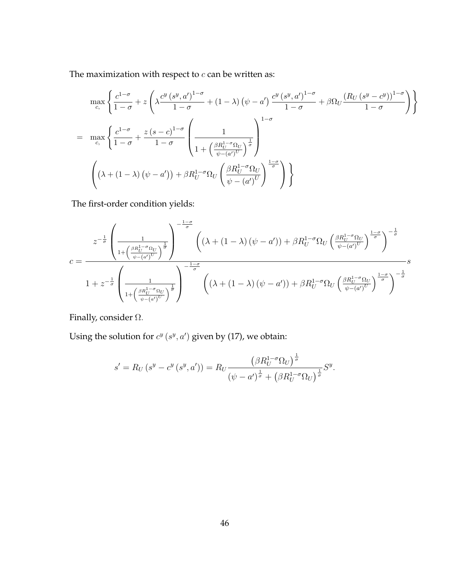The maximization with respect to  $c$  can be written as:

$$
\max_{c, c} \left\{ \frac{c^{1-\sigma}}{1-\sigma} + z \left( \lambda \frac{c^y (s^y, a')^{1-\sigma}}{1-\sigma} + (1-\lambda) \left( \psi - a' \right) \frac{c^y (s^y, a')^{1-\sigma}}{1-\sigma} + \beta \Omega_U \frac{(R_U (s^y - c^y))^{1-\sigma}}{1-\sigma} \right) \right\}
$$
\n
$$
= \max_{c, c} \left\{ \frac{c^{1-\sigma}}{1-\sigma} + \frac{z (s-c)^{1-\sigma}}{1-\sigma} \left( \frac{1}{1 + \left( \frac{\beta R_U^{1-\sigma} \Omega_U}{\psi - (a')^U} \right)^{\frac{1}{\sigma}}} \right)^{1-\sigma} \right\}
$$
\n
$$
\left( \left( \lambda + (1-\lambda) \left( \psi - a' \right) \right) + \beta R_U^{1-\sigma} \Omega_U \left( \frac{\beta R_U^{1-\sigma} \Omega_U}{\psi - (a')^U} \right)^{\frac{1-\sigma}{\sigma}} \right) \right\}
$$

The first-order condition yields:

$$
c = \frac{z^{-\frac{1}{\sigma}} \left(\frac{1}{1 + \left(\frac{\beta R_U^{1-\sigma} \Omega_U}{\psi - (a')^U}\right)^{\frac{1}{\sigma}}}\right)^{-\frac{1-\sigma}{\sigma}} \left((\lambda + (1-\lambda)\left(\psi - a'\right)) + \beta R_U^{1-\sigma} \Omega_U \left(\frac{\beta R_U^{1-\sigma} \Omega_U}{\psi - (a')^U}\right)^{\frac{1-\sigma}{\sigma}}\right)^{-\frac{1}{\sigma}}}{1 + z^{-\frac{1}{\sigma}} \left(\frac{1}{1 + \left(\frac{\beta R_U^{1-\sigma} \Omega_U}{\psi - (a')^U}\right)^{\frac{1}{\sigma}}}\right)^{-\frac{1-\sigma}{\sigma}} \left((\lambda + (1-\lambda)\left(\psi - a'\right)) + \beta R_U^{1-\sigma} \Omega_U \left(\frac{\beta R_U^{1-\sigma} \Omega_U}{\psi - (a')^U}\right)^{\frac{1-\sigma}{\sigma}}\right)^{-\frac{1}{\sigma}}}
$$

Finally, consider Ω*.*

Using the solution for  $c^y$   $(s^y, a')$  given by (17), we obtain:

$$
s' = R_U(s^y - c^y(s^y, a')) = R_U \frac{\left(\beta R_U^{1-\sigma} \Omega_U\right)^{\frac{1}{\sigma}}}{\left(\psi - a'\right)^{\frac{1}{\sigma}} + \left(\beta R_U^{1-\sigma} \Omega_U\right)^{\frac{1}{\sigma}}} S^y.
$$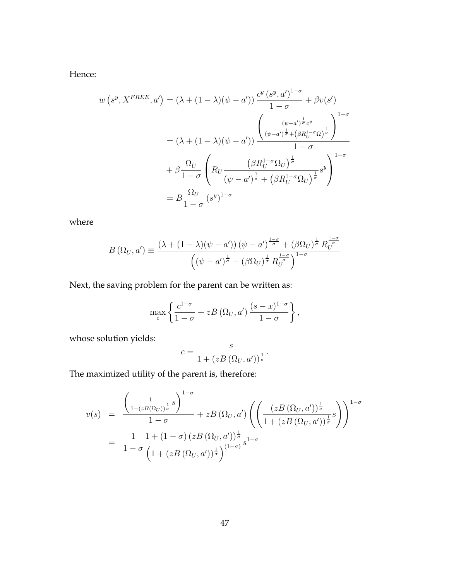Hence:

$$
w(s^y, X^{FREE}, a') = (\lambda + (1 - \lambda)(\psi - a')) \frac{c^y (s^y, a')^{1-\sigma}}{1 - \sigma} + \beta v(s')
$$
  

$$
= (\lambda + (1 - \lambda)(\psi - a')) \frac{\left(\frac{(\psi - a')^{\frac{1}{\sigma}} c^y}{(\psi - a')^{\frac{1}{\sigma}} + (\beta R_U^{1-\sigma} \Omega)^{\frac{1}{\sigma}}}\right)^{1-\sigma}}{1 - \sigma}
$$
  

$$
+ \beta \frac{\Omega_U}{1 - \sigma} \left(R_U \frac{(\beta R_U^{1-\sigma} \Omega_U)^{\frac{1}{\sigma}}}{(\psi - a')^{\frac{1}{\sigma}} + (\beta R_U^{1-\sigma} \Omega_U)^{\frac{1}{\sigma}}} s^y\right)^{1-\sigma}
$$
  

$$
= B \frac{\Omega_U}{1 - \sigma} (s^y)^{1-\sigma}
$$

where

$$
B\left(\Omega_{U},a'\right) \equiv \frac{\left(\lambda + (1-\lambda)\left(\psi - a'\right)\right)\left(\psi - a'\right)^{\frac{1-\sigma}{\sigma}} + \left(\beta \Omega_{U}\right)^{\frac{1}{\sigma}} R_{U}^{\frac{1-\sigma}{\sigma}}}{\left(\left(\psi - a'\right)^{\frac{1}{\sigma}} + \left(\beta \Omega_{U}\right)^{\frac{1}{\sigma}} R_{U}^{\frac{1-\sigma}{\sigma}}\right)^{1-\sigma}}
$$

Next, the saving problem for the parent can be written as:

$$
\max_{c} \left\{ \frac{c^{1-\sigma}}{1-\sigma} + zB\left(\Omega_U, a'\right) \frac{(s-x)^{1-\sigma}}{1-\sigma} \right\},\,
$$

whose solution yields:

$$
c = \frac{s}{1 + (zB(\Omega_U, a'))^{\frac{1}{\sigma}}}.
$$

The maximized utility of the parent is, therefore:

$$
v(s) = \frac{\left(\frac{1}{1 + (zB(\Omega_U))^{\frac{1}{\sigma}}} s\right)^{1-\sigma}}{1-\sigma} + zB\left(\Omega_U, a'\right) \left(\left(\frac{\left(zB\left(\Omega_U, a'\right)\right)^{\frac{1}{\sigma}}}{1 + \left(zB\left(\Omega_U, a'\right)\right)^{\frac{1}{\sigma}}} s\right)\right)^{1-\sigma}
$$

$$
= \frac{1}{1-\sigma} \frac{1 + (1-\sigma) \left(zB\left(\Omega_U, a'\right)\right)^{\frac{1}{\sigma}}}{\left(1 + (zB\left(\Omega_U, a'\right))^{\frac{1}{\sigma}}\right)^{(1-\sigma)}} s^{1-\sigma}
$$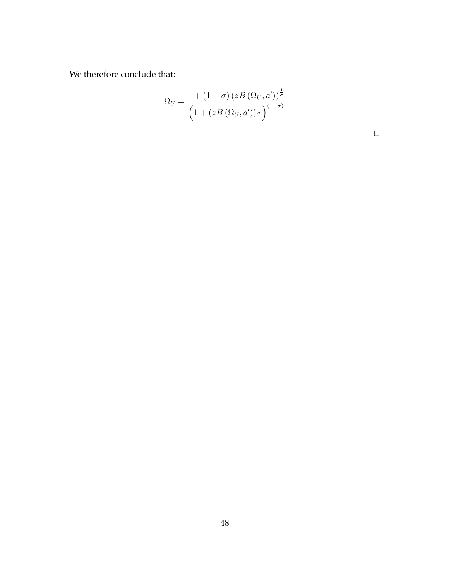We therefore conclude that:

$$
\Omega_U = \frac{1 + (1 - \sigma) (zB(\Omega_U, a'))^{\frac{1}{\sigma}}}{\left(1 + (zB(\Omega_U, a'))^{\frac{1}{\sigma}}\right)^{(1 - \sigma)}}
$$

 $\Box$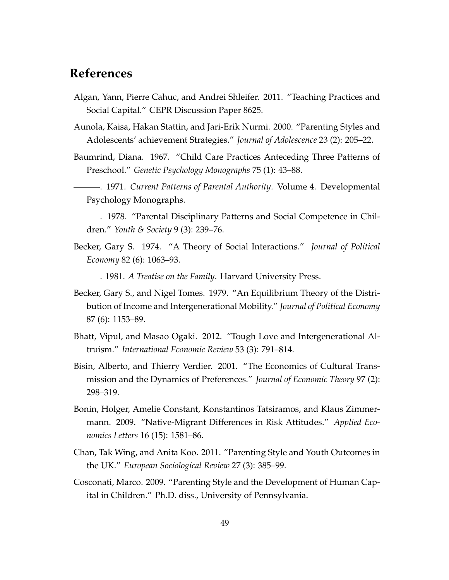## **References**

- Algan, Yann, Pierre Cahuc, and Andrei Shleifer. 2011. "Teaching Practices and Social Capital." CEPR Discussion Paper 8625.
- Aunola, Kaisa, Hakan Stattin, and Jari-Erik Nurmi. 2000. "Parenting Styles and Adolescents' achievement Strategies." *Journal of Adolescence* 23 (2): 205–22.
- Baumrind, Diana. 1967. "Child Care Practices Anteceding Three Patterns of Preschool." *Genetic Psychology Monographs* 75 (1): 43–88.
- . 1971. *Current Patterns of Parental Authority*. Volume 4. Developmental Psychology Monographs.
- . 1978. "Parental Disciplinary Patterns and Social Competence in Children." *Youth & Society* 9 (3): 239–76.
- Becker, Gary S. 1974. "A Theory of Social Interactions." *Journal of Political Economy* 82 (6): 1063–93.
- . 1981. *A Treatise on the Family*. Harvard University Press.
- Becker, Gary S., and Nigel Tomes. 1979. "An Equilibrium Theory of the Distribution of Income and Intergenerational Mobility." *Journal of Political Economy* 87 (6): 1153–89.
- Bhatt, Vipul, and Masao Ogaki. 2012. "Tough Love and Intergenerational Altruism." *International Economic Review* 53 (3): 791–814.
- Bisin, Alberto, and Thierry Verdier. 2001. "The Economics of Cultural Transmission and the Dynamics of Preferences." *Journal of Economic Theory* 97 (2): 298–319.
- Bonin, Holger, Amelie Constant, Konstantinos Tatsiramos, and Klaus Zimmermann. 2009. "Native-Migrant Differences in Risk Attitudes." *Applied Economics Letters* 16 (15): 1581–86.
- Chan, Tak Wing, and Anita Koo. 2011. "Parenting Style and Youth Outcomes in the UK." *European Sociological Review* 27 (3): 385–99.
- Cosconati, Marco. 2009. "Parenting Style and the Development of Human Capital in Children." Ph.D. diss., University of Pennsylvania.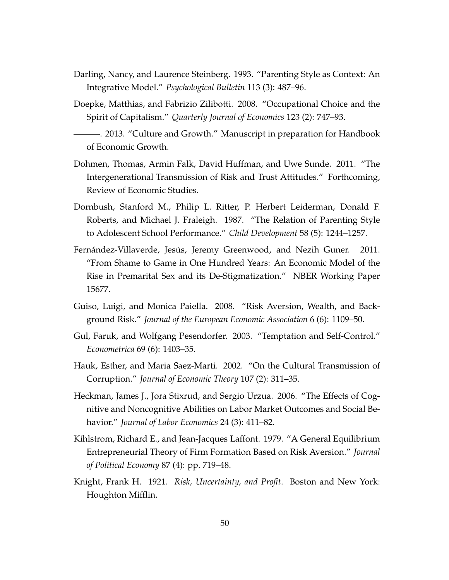- Darling, Nancy, and Laurence Steinberg. 1993. "Parenting Style as Context: An Integrative Model." *Psychological Bulletin* 113 (3): 487–96.
- Doepke, Matthias, and Fabrizio Zilibotti. 2008. "Occupational Choice and the Spirit of Capitalism." *Quarterly Journal of Economics* 123 (2): 747–93.
- . 2013. "Culture and Growth." Manuscript in preparation for Handbook of Economic Growth.
- Dohmen, Thomas, Armin Falk, David Huffman, and Uwe Sunde. 2011. "The Intergenerational Transmission of Risk and Trust Attitudes." Forthcoming, Review of Economic Studies.
- Dornbush, Stanford M., Philip L. Ritter, P. Herbert Leiderman, Donald F. Roberts, and Michael J. Fraleigh. 1987. "The Relation of Parenting Style to Adolescent School Performance." *Child Development* 58 (5): 1244–1257.
- Fernández-Villaverde, Jesús, Jeremy Greenwood, and Nezih Guner. 2011. "From Shame to Game in One Hundred Years: An Economic Model of the Rise in Premarital Sex and its De-Stigmatization." NBER Working Paper 15677.
- Guiso, Luigi, and Monica Paiella. 2008. "Risk Aversion, Wealth, and Background Risk." *Journal of the European Economic Association* 6 (6): 1109–50.
- Gul, Faruk, and Wolfgang Pesendorfer. 2003. "Temptation and Self-Control." *Econometrica* 69 (6): 1403–35.
- Hauk, Esther, and Maria Saez-Marti. 2002. "On the Cultural Transmission of Corruption." *Journal of Economic Theory* 107 (2): 311–35.
- Heckman, James J., Jora Stixrud, and Sergio Urzua. 2006. "The Effects of Cognitive and Noncognitive Abilities on Labor Market Outcomes and Social Behavior." *Journal of Labor Economics* 24 (3): 411–82.
- Kihlstrom, Richard E., and Jean-Jacques Laffont. 1979. "A General Equilibrium Entrepreneurial Theory of Firm Formation Based on Risk Aversion." *Journal of Political Economy* 87 (4): pp. 719–48.
- Knight, Frank H. 1921. *Risk, Uncertainty, and Profit*. Boston and New York: Houghton Mifflin.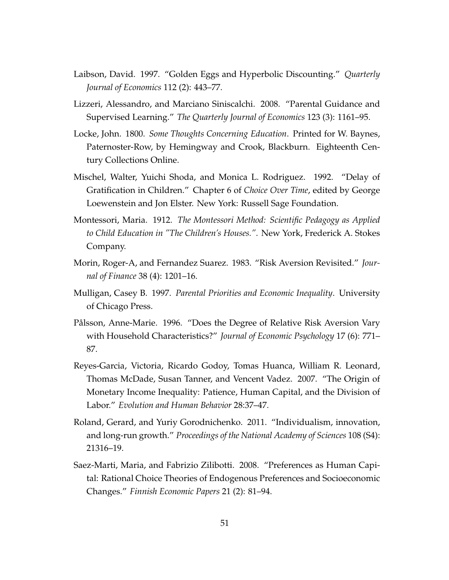- Laibson, David. 1997. "Golden Eggs and Hyperbolic Discounting." *Quarterly Journal of Economics* 112 (2): 443–77.
- Lizzeri, Alessandro, and Marciano Siniscalchi. 2008. "Parental Guidance and Supervised Learning." *The Quarterly Journal of Economics* 123 (3): 1161–95.
- Locke, John. 1800. *Some Thoughts Concerning Education*. Printed for W. Baynes, Paternoster-Row, by Hemingway and Crook, Blackburn. Eighteenth Century Collections Online.
- Mischel, Walter, Yuichi Shoda, and Monica L. Rodriguez. 1992. "Delay of Gratification in Children." Chapter 6 of *Choice Over Time*, edited by George Loewenstein and Jon Elster. New York: Russell Sage Foundation.
- Montessori, Maria. 1912. *The Montessori Method: Scientific Pedagogy as Applied to Child Education in "The Children's Houses."*. New York, Frederick A. Stokes Company.
- Morin, Roger-A, and Fernandez Suarez. 1983. "Risk Aversion Revisited." *Journal of Finance* 38 (4): 1201–16.
- Mulligan, Casey B. 1997. *Parental Priorities and Economic Inequality*. University of Chicago Press.
- Pålsson, Anne-Marie. 1996. "Does the Degree of Relative Risk Aversion Vary with Household Characteristics?" *Journal of Economic Psychology* 17 (6): 771– 87.
- Reyes-Garcia, Victoria, Ricardo Godoy, Tomas Huanca, William R. Leonard, Thomas McDade, Susan Tanner, and Vencent Vadez. 2007. "The Origin of Monetary Income Inequality: Patience, Human Capital, and the Division of Labor." *Evolution and Human Behavior* 28:37–47.
- Roland, Gerard, and Yuriy Gorodnichenko. 2011. "Individualism, innovation, and long-run growth." *Proceedings of the National Academy of Sciences* 108 (S4): 21316–19.
- Saez-Marti, Maria, and Fabrizio Zilibotti. 2008. "Preferences as Human Capital: Rational Choice Theories of Endogenous Preferences and Socioeconomic Changes." *Finnish Economic Papers* 21 (2): 81–94.